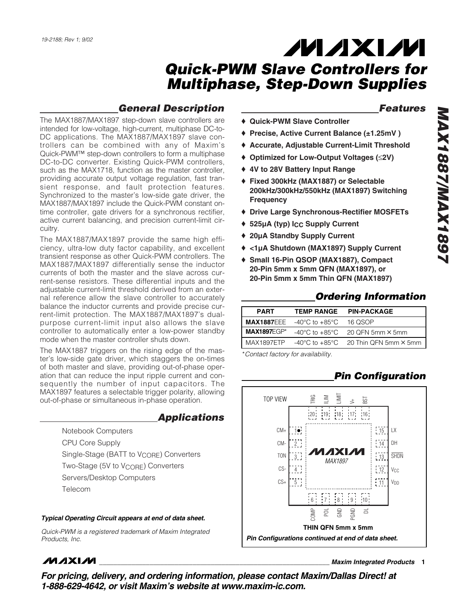### *General Description*

The MAX1887/MAX1897 step-down slave controllers are intended for low-voltage, high-current, multiphase DC-to-DC applications. The MAX1887/MAX1897 slave controllers can be combined with any of Maxim's Quick-PWM™ step-down controllers to form a multiphase DC-to-DC converter. Existing Quick-PWM controllers, such as the MAX1718, function as the master controller, providing accurate output voltage regulation, fast transient response, and fault protection features. Synchronized to the master's low-side gate driver, the MAX1887/MAX1897 include the Quick-PWM constant ontime controller, gate drivers for a synchronous rectifier, active current balancing, and precision current-limit circuitry.

The MAX1887/MAX1897 provide the same high efficiency, ultra-low duty factor capability, and excellent transient response as other Quick-PWM controllers. The MAX1887/MAX1897 differentially sense the inductor currents of both the master and the slave across current-sense resistors. These differential inputs and the adjustable current-limit threshold derived from an external reference allow the slave controller to accurately balance the inductor currents and provide precise current-limit protection. The MAX1887/MAX1897's dualpurpose current-limit input also allows the slave controller to automatically enter a low-power standby mode when the master controller shuts down.

The MAX1887 triggers on the rising edge of the master's low-side gate driver, which staggers the on-times of both master and slave, providing out-of-phase operation that can reduce the input ripple current and consequently the number of input capacitors. The MAX1897 features a selectable trigger polarity, allowing out-of-phase or simultaneous in-phase operation.

### *Applications*

Notebook Computers CPU Core Supply Single-Stage (BATT to V<sub>CORE</sub>) Converters Two-Stage (5V to V<sub>CORE</sub>) Converters Servers/Desktop Computers Telecom

#### *Typical Operating Circuit appears at end of data sheet.*

*Quick-PWM is a registered trademark of Maxim Integrated Products, Inc.*

### *Features*

- ♦ **Quick-PWM Slave Controller**
- ♦ **Precise, Active Current Balance (±1.25mV )**
- ♦ **Accurate, Adjustable Current-Limit Threshold**
- ♦ **Optimized for Low-Output Voltages (**≤**2V)**
- ♦ **4V to 28V Battery Input Range**
- ♦ **Fixed 300kHz (MAX1887) or Selectable 200kHz/300kHz/550kHz (MAX1897) Switching Frequency**
- ♦ **Drive Large Synchronous-Rectifier MOSFETs**
- ♦ **525µA (typ) ICC Supply Current**
- ♦ **20µA Standby Supply Current**
- ♦ **<1µA Shutdown (MAX1897) Supply Current**
- ♦ **Small 16-Pin QSOP (MAX1887), Compact 20-Pin 5mm x 5mm QFN (MAX1897), or 20-Pin 5mm x 5mm Thin QFN (MAX1897)**

### *Ordering Information*

| <b>PART</b>        | <b>TEMP RANGE</b>                                    | <b>PIN-PACKAGE</b>                                              |
|--------------------|------------------------------------------------------|-----------------------------------------------------------------|
|                    | <b>MAX1887EEE</b> $-40^{\circ}$ C to $+85^{\circ}$ C | 16 QSOP                                                         |
| <b>MAX1897EGP*</b> |                                                      | $-40^{\circ}$ C to $+85^{\circ}$ C 20 QFN 5mm $\times$ 5mm      |
| MAX1897ETP         |                                                      | $-40^{\circ}$ C to $+85^{\circ}$ C 20 Thin QFN 5mm $\times$ 5mm |

\**Contact factory for availability.*

### *Pin Configuration*



### **MAXM**

**\_\_\_\_\_\_\_\_\_\_\_\_\_\_\_\_\_\_\_\_\_\_\_\_\_\_\_\_\_\_\_\_\_\_\_\_\_\_\_\_\_\_\_\_\_\_\_\_\_\_\_\_\_\_\_\_\_\_\_\_\_\_\_\_** *Maxim Integrated Products* **1**

*For pricing, delivery, and ordering information, please contact Maxim/Dallas Direct! at 1-888-629-4642, or visit Maxim's website at www.maxim-ic.com.*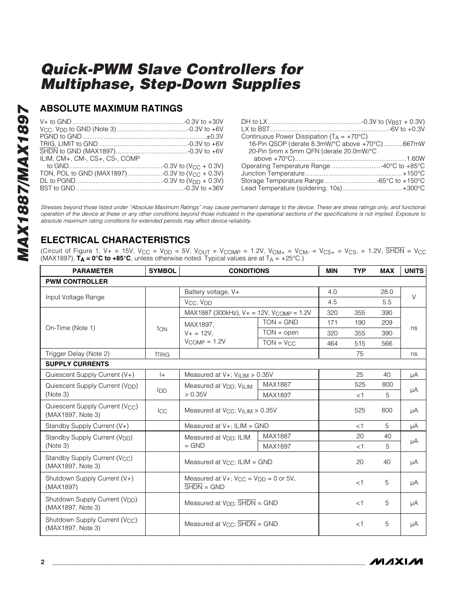### **ABSOLUTE MAXIMUM RATINGS**

| ILIM. CM+. CM-. CS+. CS-. COMP |  |
|--------------------------------|--|
|                                |  |
|                                |  |
|                                |  |
|                                |  |

| Continuous Power Dissipation $(T_A = +70^{\circ}C)$ |  |
|-----------------------------------------------------|--|
| 16-Pin QSOP (derate 8.3mW/°C above +70°C)667mW      |  |
| 20-Pin 5mm x 5mm QFN (derate 20.0mW/°C              |  |
|                                                     |  |
|                                                     |  |
|                                                     |  |
| Storage Temperature Range -65°C to +150°C           |  |
| Lead Temperature (soldering, 10s) +300°C            |  |

*Stresses beyond those listed under "Absolute Maximum Ratings" may cause permanent damage to the device. These are stress ratings only, and functional operation of the device at these or any other conditions beyond those indicated in the operational sections of the specifications is not implied. Exposure to absolute maximum rating conditions for extended periods may affect device reliability.*

### **ELECTRICAL CHARACTERISTICS**

(Circuit of Figure 1,  $V_+$  = 15V,  $V_{CC}$  =  $V_{DD}$  = 5V,  $V_{OUT}$  =  $V_{COMP}$  = 1.2V,  $V_{CM+}$  =  $V_{CM-}$  =  $V_{CS+}$  =  $V_{CS-}$  = 1.2V,  $\overline{SHDN}$  =  $V_{CC}$ (MAX1897),  $\vec{T}_A = 0^\circ \vec{C}$  to  $+85^\circ \vec{C}$ , unless otherwise noted. Typical values are at  $T_A = +25^\circ \vec{C}$ .)

| <b>PARAMETER</b>                                                 | <b>SYMBOL</b> | <b>CONDITIONS</b>                                                                         |                | <b>MIN</b> | <b>TYP</b> | <b>MAX</b> | <b>UNITS</b> |
|------------------------------------------------------------------|---------------|-------------------------------------------------------------------------------------------|----------------|------------|------------|------------|--------------|
| <b>PWM CONTROLLER</b>                                            |               |                                                                                           |                |            |            |            |              |
|                                                                  |               | Battery voltage, V+                                                                       |                | 4.0        |            | 28.0       |              |
| Input Voltage Range                                              |               | V <sub>CC</sub> , V <sub>DD</sub>                                                         |                | 4.5        |            | 5.5        | V            |
|                                                                  |               | MAX1887 (300kHz), $V + = 12V$ , $V_{COMP} = 1.2V$                                         |                | 320        | 355        | 390        |              |
| On-Time (Note 1)                                                 |               | MAX1897.                                                                                  | $TON = GND$    | 171        | 190        | 209        |              |
|                                                                  | ton           | $V + = 12V$ .                                                                             | $TON = open$   | 320        | 355        | 390        | ns           |
|                                                                  |               | $V_{COMP} = 1.2V$                                                                         | $TON = V_{CC}$ | 464        | 515        | 566        |              |
| Trigger Delay (Note 2)                                           | <b>TRIG</b>   |                                                                                           |                |            | 75         |            | ns           |
| <b>SUPPLY CURRENTS</b>                                           |               |                                                                                           |                |            |            |            |              |
| Quiescent Supply Current (V+)                                    | $ +$          | Measured at $V+$ ; $V_{II-IM} > 0.35V$                                                    |                |            | 25         | 40         | μA           |
| Quiescent Supply Current (V <sub>DD</sub> )                      | <b>I</b> DD   | Measured at V <sub>DD</sub> ; VILIM                                                       | MAX1887        |            | 525        | 800        | μA           |
| (Note 3)                                                         |               | > 0.35V<br>MAX1897                                                                        |                |            | $<$ 1      | 5          |              |
| Quiescent Supply Current (V <sub>CC</sub> )<br>(MAX1897, Note 3) | <b>I</b> CC   | Measured at $V_{\text{CC}}$ ; $V_{\text{ILIM}} > 0.35V$                                   |                |            | 525        | 800        | μA           |
| Standby Supply Current (V+)                                      |               | Measured at $V+$ ; ILIM = GND                                                             |                |            | $<$ 1      | 5          | μA           |
| Standby Supply Current (V <sub>DD</sub> )                        |               | Measured at V <sub>DD</sub> ; ILIM                                                        | MAX1887        |            | 20         | 40         |              |
| (Note 3)                                                         |               | $=$ GND                                                                                   | MAX1897        |            | $<$ 1      | 5          | μA           |
| Standby Supply Current (V <sub>CC</sub> )<br>(MAX1897, Note 3)   |               | Measured at V <sub>CC</sub> ; ILIM = GND                                                  |                |            | 20         | 40         | μA           |
| Shutdown Supply Current (V+)<br>(MAX1897)                        |               | Measured at $V +$ ; $V_{CC} = V_{DD} = 0$ or 5V,<br>$\overline{\text{SHDN}} = \text{GND}$ |                |            | $<$ 1      | 5          | μA           |
| Shutdown Supply Current (V <sub>DD</sub> )<br>(MAX1897, Note 3)  |               | Measured at $V_{DD}$ ; $\overline{SHDN} = GND$                                            |                |            | <1         | 5          | μA           |
| Shutdown Supply Current (V <sub>CC</sub> )<br>(MAX1897, Note 3)  |               | Measured at $V_{CC}$ ; $\overline{SHDN}$ = GND                                            |                |            | $<$ 1      | 5          | μA           |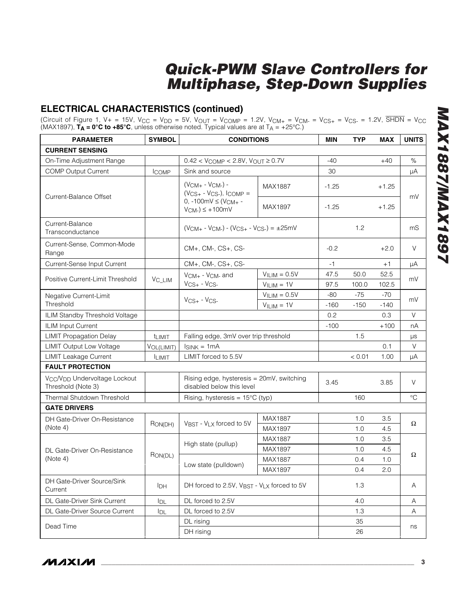### **ELECTRICAL CHARACTERISTICS (continued)**

(Circuit of Figure 1, V+ = 15V, V $_{\rm CC}$  = V $_{\rm DD}$  = 5V, V $_{\rm OUT}$  = V $_{\rm COMP}$  = 1.2V, V $_{\rm CM+}$  = V $_{\rm CM-}$  = V $_{\rm CS+}$  = V $_{\rm CS-}$  = 1.2V, SHDN = V $_{\rm CC}$ (MAX1897), **TA = 0°C to +85°C**, unless otherwise noted. Typical values are at TA = +25°C.)

| <b>PARAMETER</b>                                                            | <b>SYMBOL</b>    | <b>CONDITIONS</b>                                                      |                | <b>MIN</b> | <b>TYP</b> | MAX     | <b>UNITS</b> |
|-----------------------------------------------------------------------------|------------------|------------------------------------------------------------------------|----------------|------------|------------|---------|--------------|
| <b>CURRENT SENSING</b>                                                      |                  |                                                                        |                |            |            |         |              |
| On-Time Adjustment Range                                                    |                  | $0.42 < V_{COMP} < 2.8V$ , $V_{OUT} \ge 0.7V$                          |                | $-40$      |            | $+40$   | %            |
| <b>COMP Output Current</b>                                                  | <b>ICOMP</b>     | Sink and source                                                        |                | 30         |            |         | μA           |
| Current-Balance Offset                                                      |                  | $(V_{CM+} - V_{CM-}) -$<br>MAX1887<br>$(V_{CS+} - V_{CS-}),$ ICOMP =   | $-1.25$        |            | $+1.25$    | mV      |              |
|                                                                             |                  | 0, $-100mV \leq (V_{CM+} -$<br>$V_{CM-}$ ) $\leq$ +100mV               | MAX1897        | $-1.25$    |            | $+1.25$ |              |
| Current-Balance<br>Transconductance                                         |                  | $(V_{CM+} - V_{CM-}) - (V_{CS+} - V_{CS-}) = \pm 25$ mV                |                |            | 1.2        |         | mS           |
| Current-Sense, Common-Mode<br>Range                                         |                  | CM+, CM-, CS+, CS-                                                     |                | $-0.2$     |            | $+2.0$  | V            |
| Current-Sense Input Current                                                 |                  | CM+, CM-, CS+, CS-                                                     |                | -1         |            | $+1$    | μA           |
| Positive Current-Limit Threshold                                            |                  | $V_{CM+}$ - $V_{CM-}$ and                                              | $VILIM = 0.5V$ | 47.5       | 50.0       | 52.5    | mV           |
|                                                                             | $\rm V_{C\_LIM}$ | $V_{CS+}$ - $V_{CS-}$                                                  | $VILIM = 1V$   | 97.5       | 100.0      | 102.5   |              |
| Negative Current-Limit                                                      |                  |                                                                        | $VILIM = 0.5V$ | -80        | $-75$      | $-70$   |              |
| Threshold                                                                   |                  | $V_{CS+}$ - $V_{CS-}$                                                  | $VILIM = 1V$   | $-160$     | $-150$     | $-140$  | mV           |
| ILIM Standby Threshold Voltage                                              |                  |                                                                        |                | 0.2        |            | 0.3     | V            |
| <b>ILIM Input Current</b>                                                   |                  |                                                                        |                | $-100$     |            | $+100$  | пA           |
| <b>LIMIT Propagation Delay</b>                                              | <b>t</b> LIMIT   | Falling edge, 3mV over trip threshold                                  |                |            | 1.5        |         | μs           |
| <b>LIMIT Output Low Voltage</b>                                             | VOL(LIMIT)       | $I_{SINK} = 1mA$                                                       |                |            |            | 0.1     | V            |
| <b>LIMIT Leakage Current</b>                                                | <b>LIMIT</b>     | LIMIT forced to 5.5V                                                   |                |            | < 0.01     | 1.00    | μA           |
| <b>FAULT PROTECTION</b>                                                     |                  |                                                                        |                |            |            |         |              |
| V <sub>CC</sub> /V <sub>DD</sub> Undervoltage Lockout<br>Threshold (Note 3) |                  | Rising edge, hysteresis = 20mV, switching<br>disabled below this level |                | 3.45       |            | 3.85    | V            |
| Thermal Shutdown Threshold                                                  |                  | Rising, hysteresis = 15°C (typ)                                        |                |            | 160        |         | $^{\circ}C$  |
| <b>GATE DRIVERS</b>                                                         |                  |                                                                        |                |            |            |         |              |
| DH Gate-Driver On-Resistance                                                |                  | V <sub>BST</sub> - V <sub>LX</sub> forced to 5V                        | MAX1887        |            | 1.0        | 3.5     | Ω            |
| (Note 4)                                                                    | RON(DH)          |                                                                        | MAX1897        |            | 1.0        | 4.5     |              |
|                                                                             |                  |                                                                        | <b>MAX1887</b> |            | 1.0        | 3.5     |              |
| DL Gate-Driver On-Resistance                                                |                  | High state (pullup)                                                    | MAX1897        |            | 1.0        | 4.5     |              |
| (Note 4)                                                                    | RON(DL)          |                                                                        | <b>MAX1887</b> |            | 0.4        | 1.0     | Ω            |
|                                                                             |                  | Low state (pulldown)                                                   | MAX1897        |            | 0.4        | 2.0     |              |
| DH Gate-Driver Source/Sink<br>Current                                       | IDH              | DH forced to 2.5V, VBST - VLX forced to 5V                             |                |            | 1.3        |         | Α            |
| DL Gate-Driver Sink Current                                                 | IDL              | DL forced to 2.5V                                                      |                |            | 4.0        |         | Α            |
| DL Gate-Driver Source Current                                               | <b>IDL</b>       | DL forced to 2.5V                                                      |                |            | 1.3        |         | Α            |
|                                                                             |                  | DL rising                                                              |                |            | 35         |         |              |
| Dead Time                                                                   |                  | DH rising                                                              |                |            | 26         |         | ns           |

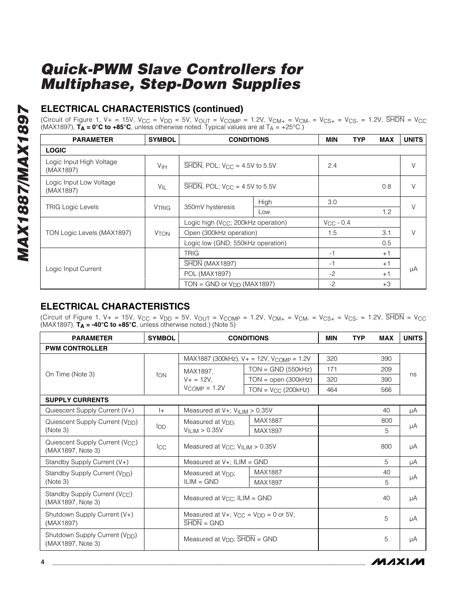### **ELECTRICAL CHARACTERISTICS (continued)**

(Circuit of Figure 1, V+ = 15V, V $_{\rm CC}$  = V $_{\rm DD}$  = 5V, V $_{\rm OUT}$  = V $_{\rm COMP}$  = 1.2V, V $_{\rm CM+}$  = V $_{\rm CK+}$  = V $_{\rm CS+}$  = 1.2V, SHDN = V $_{\rm CC}$ (MAX1897), **TA = 0°C to +85°C**, unless otherwise noted. Typical values are at TA = +25°C.)

| <b>PARAMETER</b>                      | <b>SYMBOL</b>          | <b>CONDITIONS</b>                                              |      | <b>MIN</b>     | <b>TYP</b> | <b>MAX</b> | <b>UNITS</b> |
|---------------------------------------|------------------------|----------------------------------------------------------------|------|----------------|------------|------------|--------------|
| <b>LOGIC</b>                          |                        |                                                                |      |                |            |            |              |
| Logic Input High Voltage<br>(MAX1897) | V <sub>IH</sub>        | $\overline{\text{SHDN}}$ , POL; V <sub>CC</sub> = 4.5V to 5.5V |      | 2.4            |            |            | V            |
| Logic Input Low Voltage<br>(MAX1897)  | $V_{\parallel}$        | $\overline{\text{SHDN}}$ , POL; V <sub>CC</sub> = 4.5V to 5.5V |      |                |            | 0.8        | V            |
|                                       |                        | 350mV hysteresis                                               | High | 3.0            |            |            | $\vee$       |
| <b>TRIG Logic Levels</b>              | <b>VTRIG</b>           |                                                                | Low  |                |            | 1.2        |              |
|                                       |                        | Logic high (V <sub>CC</sub> ; 200kHz operation)                |      | $V_{CC}$ - 0.4 |            |            |              |
| TON Logic Levels (MAX1897)            | <b>V<sub>TON</sub></b> | Open (300kHz operation)                                        |      | 1.5            |            | 3.1        | V            |
|                                       |                        | Logic low (GND; 550kHz operation)                              |      |                |            | 0.5        |              |
|                                       |                        | <b>TRIG</b>                                                    |      | -1             |            | $+1$       |              |
| Logic Input Current                   |                        | SHDN (MAX1897)                                                 |      | $-1$           |            | $+1$       |              |
|                                       |                        | POL (MAX1897)                                                  |      | $-2$           |            | $+1$       | μA           |
|                                       |                        | $TON = GND$ or $VDD$ (MAX1897)                                 |      | $-2$           |            | $+3$       |              |

### **ELECTRICAL CHARACTERISTICS**

(Circuit of Figure 1,  $V_+$  = 15V,  $V_{CC}$  =  $V_{DD}$  = 5V,  $V_{OUT}$  =  $V_{COMP}$  = 1.2V,  $V_{CM+}$  =  $V_{CM-}$  =  $V_{CS+}$  =  $V_{CS-}$  = 1.2V,  $\overline{SHDN}$  =  $V_{CC}$  $(MAX1897)$ ,  $\overline{T}_A = -40^\circ \text{C}$  to  $+85^\circ \text{C}$ , unless otherwise noted.) (Note 5)

| <b>PARAMETER</b>                                                 | <b>SYMBOL</b>   |                                                                                  | <b>CONDITIONS</b>                                    | <b>MIN</b> | <b>TYP</b> | <b>MAX</b> | <b>UNITS</b> |
|------------------------------------------------------------------|-----------------|----------------------------------------------------------------------------------|------------------------------------------------------|------------|------------|------------|--------------|
| <b>PWM CONTROLLER</b>                                            |                 |                                                                                  |                                                      |            |            |            |              |
|                                                                  |                 |                                                                                  | MAX1887 (300kHz), V+ = 12V, V <sub>COMP</sub> = 1.2V | 320        |            | 390        |              |
|                                                                  |                 | MAX1897,                                                                         | $TON = GND (550kHz)$                                 | 171        |            | 209        |              |
| On Time (Note 3)                                                 | ton             | $V_+ = 12V$ ,                                                                    | $TON = open (300kHz)$                                | 320        |            | 390        | ns           |
|                                                                  |                 | $V_{COMP} = 1.2V$                                                                | $TON = V_{CC}$ (200 $kHz$ )                          | 464        |            | 566        |              |
| <b>SUPPLY CURRENTS</b>                                           |                 |                                                                                  |                                                      |            |            |            |              |
| Quiescent Supply Current (V+)                                    | $ + $           | Measured at $V+$ ; $VILIM > 0.35V$                                               |                                                      |            |            | 40         | μA           |
| Quiescent Supply Current (V <sub>DD</sub> )                      |                 | MAX1887<br>Measured at V <sub>DD</sub> :<br>V <sub>ILIM</sub> > 0.35V<br>MAX1897 |                                                      |            |            | 800        |              |
| (Note 3)                                                         | <b>I</b> DD     |                                                                                  |                                                      |            |            | 5          | μA           |
| Quiescent Supply Current (V <sub>CC</sub> )<br>(MAX1897, Note 3) | $_{\text{ICC}}$ | Measured at $V_{\text{CC}}$ ; $V_{\text{ILIM}} > 0.35V$                          |                                                      |            |            | 800        | μA           |
| Standby Supply Current (V+)                                      |                 | Measured at $V+$ ; ILIM = GND                                                    |                                                      |            |            | 5          | μA           |
| Standby Supply Current (V <sub>DD</sub> )                        |                 | Measured at V <sub>DD</sub> :                                                    | MAX1887                                              |            |            | 40         |              |
| (Note 3)                                                         |                 | $ILIM = GND$                                                                     | MAX1897                                              |            |            | 5          | μA           |
| Standby Supply Current (V <sub>CC</sub> )<br>(MAX1897, Note 3)   |                 | Measured at V <sub>CC</sub> ; ILIM = GND                                         |                                                      |            |            | 40         | μA           |
| Shutdown Supply Current (V+)<br>(MAX1897)                        |                 | Measured at $V +$ ; $V_{CC} = V_{DD} = 0$ or 5V,<br>$SHDN = GND$                 |                                                      |            |            | 5          | μA           |
| Shutdown Supply Current (V <sub>DD</sub> )<br>(MAX1897, Note 3)  |                 | Measured at V <sub>DD</sub> ; SHDN = GND                                         |                                                      |            |            | 5          | μA           |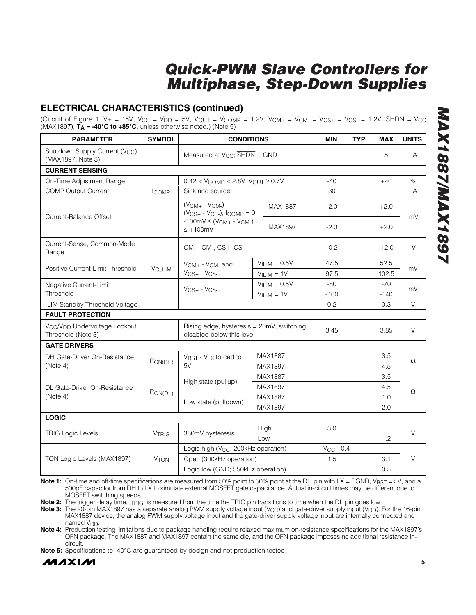### **ELECTRICAL CHARACTERISTICS (continued)**

(Circuit of Figure 1, V+ = 15V, V $_{\rm CC}$  = V $_{\rm DD}$  = 5V, V $_{\rm OUT}$  = V $_{\rm COMP}$  = 1.2V, V $_{\rm CM+}$  = V $_{\rm CM-}$  = V $_{\rm CS+}$  = V $_{\rm CS-}$  = 1.2V, SHDN = V $_{\rm CC}$ (MAX1897), **TA = -40°C to +85°C**, unless otherwise noted.) (Note 5)

| Shutdown Supply Current (V <sub>CC</sub> )<br>Measured at $V_{CC}$ ; $\overline{SHDN}$ = GND<br>5<br>μA<br>(MAX1897, Note 3)<br><b>CURRENT SENSING</b><br>On-Time Adjustment Range<br>$0.42 < V_{COMP} < 2.8V$ , $V_{OUT} \ge 0.7V$<br>$-40$<br>%<br>$+40$<br><b>COMP Output Current</b><br>Sink and source<br>30<br>μA<br><b>ICOMP</b><br>$(V_{CM+} - V_{CM-}) -$<br>MAX1887<br>$-2.0$<br>$+2.0$<br>$(V_{CS+} - V_{CS-}),$ ICOMP = 0,<br>Current-Balance Offset<br>mV<br>$-100mV \leq (V_{CM+} - V_{CM-})$<br>MAX1897<br>$-2.0$<br>$+2.0$<br>$\leq$ +100mV<br>Current-Sense, Common-Mode<br>$\vee$<br>CM+, CM-, CS+, CS-<br>$-0.2$<br>$+2.0$<br>Range<br>$VILIM = 0.5V$<br>47.5<br>52.5<br>$V_{CM+}$ - $V_{CM-}$ and<br>Positive Current-Limit Threshold<br>V <sub>C_LIM</sub><br>mV<br>$V_{CS+}$ - $V_{CS-}$<br>$VILIM = 1V$<br>97.5<br>102.5<br>$VILIM = 0.5V$<br>$-80$<br>$-70$<br>Negative Current-Limit<br>$V_{CS+}$ - $V_{CS-}$<br>mV<br>Threshold<br>$VILIM = 1V$<br>$-160$<br>$-140$<br>ILIM Standby Threshold Voltage<br>0.2<br>0.3<br>V<br><b>FAULT PROTECTION</b><br>Rising edge, hysteresis = 20mV, switching<br>V <sub>CC</sub> /V <sub>DD</sub> Undervoltage Lockout<br>V<br>3.45<br>3.85<br>Threshold (Note 3)<br>disabled below this level<br><b>GATE DRIVERS</b><br>MAX1887<br>3.5<br>DH Gate-Driver On-Resistance<br>VBST - VLX forced to<br>RON(DH)<br>Ω<br>5V<br>(Note 4)<br>4.5<br>MAX1897<br>MAX1887<br>3.5<br>High state (pullup)<br>MAX1897<br>4.5<br>DL Gate-Driver On-Resistance<br>Ω<br>RON(DL)<br>(Note 4)<br>MAX1887<br>1.0<br>Low state (pulldown)<br>MAX1897<br>2.0<br><b>LOGIC</b><br>3.0<br>High<br>$\vee$<br><b>TRIG Logic Levels</b><br>350mV hysteresis<br><b>VTRIG</b><br>Low<br>1.2<br>Logic high (V <sub>CC</sub> ; 200kHz operation)<br>$V_{CC}$ - 0.4<br>$\vee$<br>Open (300kHz operation)<br>1.5<br>3.1<br>TON Logic Levels (MAX1897)<br><b>V<sub>TON</sub></b><br>Logic low (GND; 550kHz operation)<br>0.5 | <b>PARAMETER</b> | <b>SYMBOL</b> | <b>CONDITIONS</b> |  | <b>MIN</b> | <b>TYP</b> | <b>MAX</b> | <b>UNITS</b> |  |
|--------------------------------------------------------------------------------------------------------------------------------------------------------------------------------------------------------------------------------------------------------------------------------------------------------------------------------------------------------------------------------------------------------------------------------------------------------------------------------------------------------------------------------------------------------------------------------------------------------------------------------------------------------------------------------------------------------------------------------------------------------------------------------------------------------------------------------------------------------------------------------------------------------------------------------------------------------------------------------------------------------------------------------------------------------------------------------------------------------------------------------------------------------------------------------------------------------------------------------------------------------------------------------------------------------------------------------------------------------------------------------------------------------------------------------------------------------------------------------------------------------------------------------------------------------------------------------------------------------------------------------------------------------------------------------------------------------------------------------------------------------------------------------------------------------------------------------------------------------------------------------------------------------------------------------------------------------|------------------|---------------|-------------------|--|------------|------------|------------|--------------|--|
|                                                                                                                                                                                                                                                                                                                                                                                                                                                                                                                                                                                                                                                                                                                                                                                                                                                                                                                                                                                                                                                                                                                                                                                                                                                                                                                                                                                                                                                                                                                                                                                                                                                                                                                                                                                                                                                                                                                                                        |                  |               |                   |  |            |            |            |              |  |
|                                                                                                                                                                                                                                                                                                                                                                                                                                                                                                                                                                                                                                                                                                                                                                                                                                                                                                                                                                                                                                                                                                                                                                                                                                                                                                                                                                                                                                                                                                                                                                                                                                                                                                                                                                                                                                                                                                                                                        |                  |               |                   |  |            |            |            |              |  |
|                                                                                                                                                                                                                                                                                                                                                                                                                                                                                                                                                                                                                                                                                                                                                                                                                                                                                                                                                                                                                                                                                                                                                                                                                                                                                                                                                                                                                                                                                                                                                                                                                                                                                                                                                                                                                                                                                                                                                        |                  |               |                   |  |            |            |            |              |  |
|                                                                                                                                                                                                                                                                                                                                                                                                                                                                                                                                                                                                                                                                                                                                                                                                                                                                                                                                                                                                                                                                                                                                                                                                                                                                                                                                                                                                                                                                                                                                                                                                                                                                                                                                                                                                                                                                                                                                                        |                  |               |                   |  |            |            |            |              |  |
|                                                                                                                                                                                                                                                                                                                                                                                                                                                                                                                                                                                                                                                                                                                                                                                                                                                                                                                                                                                                                                                                                                                                                                                                                                                                                                                                                                                                                                                                                                                                                                                                                                                                                                                                                                                                                                                                                                                                                        |                  |               |                   |  |            |            |            |              |  |
|                                                                                                                                                                                                                                                                                                                                                                                                                                                                                                                                                                                                                                                                                                                                                                                                                                                                                                                                                                                                                                                                                                                                                                                                                                                                                                                                                                                                                                                                                                                                                                                                                                                                                                                                                                                                                                                                                                                                                        |                  |               |                   |  |            |            |            |              |  |
|                                                                                                                                                                                                                                                                                                                                                                                                                                                                                                                                                                                                                                                                                                                                                                                                                                                                                                                                                                                                                                                                                                                                                                                                                                                                                                                                                                                                                                                                                                                                                                                                                                                                                                                                                                                                                                                                                                                                                        |                  |               |                   |  |            |            |            |              |  |
|                                                                                                                                                                                                                                                                                                                                                                                                                                                                                                                                                                                                                                                                                                                                                                                                                                                                                                                                                                                                                                                                                                                                                                                                                                                                                                                                                                                                                                                                                                                                                                                                                                                                                                                                                                                                                                                                                                                                                        |                  |               |                   |  |            |            |            |              |  |
|                                                                                                                                                                                                                                                                                                                                                                                                                                                                                                                                                                                                                                                                                                                                                                                                                                                                                                                                                                                                                                                                                                                                                                                                                                                                                                                                                                                                                                                                                                                                                                                                                                                                                                                                                                                                                                                                                                                                                        |                  |               |                   |  |            |            |            |              |  |
|                                                                                                                                                                                                                                                                                                                                                                                                                                                                                                                                                                                                                                                                                                                                                                                                                                                                                                                                                                                                                                                                                                                                                                                                                                                                                                                                                                                                                                                                                                                                                                                                                                                                                                                                                                                                                                                                                                                                                        |                  |               |                   |  |            |            |            |              |  |
|                                                                                                                                                                                                                                                                                                                                                                                                                                                                                                                                                                                                                                                                                                                                                                                                                                                                                                                                                                                                                                                                                                                                                                                                                                                                                                                                                                                                                                                                                                                                                                                                                                                                                                                                                                                                                                                                                                                                                        |                  |               |                   |  |            |            |            |              |  |
|                                                                                                                                                                                                                                                                                                                                                                                                                                                                                                                                                                                                                                                                                                                                                                                                                                                                                                                                                                                                                                                                                                                                                                                                                                                                                                                                                                                                                                                                                                                                                                                                                                                                                                                                                                                                                                                                                                                                                        |                  |               |                   |  |            |            |            |              |  |
|                                                                                                                                                                                                                                                                                                                                                                                                                                                                                                                                                                                                                                                                                                                                                                                                                                                                                                                                                                                                                                                                                                                                                                                                                                                                                                                                                                                                                                                                                                                                                                                                                                                                                                                                                                                                                                                                                                                                                        |                  |               |                   |  |            |            |            |              |  |
|                                                                                                                                                                                                                                                                                                                                                                                                                                                                                                                                                                                                                                                                                                                                                                                                                                                                                                                                                                                                                                                                                                                                                                                                                                                                                                                                                                                                                                                                                                                                                                                                                                                                                                                                                                                                                                                                                                                                                        |                  |               |                   |  |            |            |            |              |  |
|                                                                                                                                                                                                                                                                                                                                                                                                                                                                                                                                                                                                                                                                                                                                                                                                                                                                                                                                                                                                                                                                                                                                                                                                                                                                                                                                                                                                                                                                                                                                                                                                                                                                                                                                                                                                                                                                                                                                                        |                  |               |                   |  |            |            |            |              |  |
|                                                                                                                                                                                                                                                                                                                                                                                                                                                                                                                                                                                                                                                                                                                                                                                                                                                                                                                                                                                                                                                                                                                                                                                                                                                                                                                                                                                                                                                                                                                                                                                                                                                                                                                                                                                                                                                                                                                                                        |                  |               |                   |  |            |            |            |              |  |
|                                                                                                                                                                                                                                                                                                                                                                                                                                                                                                                                                                                                                                                                                                                                                                                                                                                                                                                                                                                                                                                                                                                                                                                                                                                                                                                                                                                                                                                                                                                                                                                                                                                                                                                                                                                                                                                                                                                                                        |                  |               |                   |  |            |            |            |              |  |
|                                                                                                                                                                                                                                                                                                                                                                                                                                                                                                                                                                                                                                                                                                                                                                                                                                                                                                                                                                                                                                                                                                                                                                                                                                                                                                                                                                                                                                                                                                                                                                                                                                                                                                                                                                                                                                                                                                                                                        |                  |               |                   |  |            |            |            |              |  |
|                                                                                                                                                                                                                                                                                                                                                                                                                                                                                                                                                                                                                                                                                                                                                                                                                                                                                                                                                                                                                                                                                                                                                                                                                                                                                                                                                                                                                                                                                                                                                                                                                                                                                                                                                                                                                                                                                                                                                        |                  |               |                   |  |            |            |            |              |  |
|                                                                                                                                                                                                                                                                                                                                                                                                                                                                                                                                                                                                                                                                                                                                                                                                                                                                                                                                                                                                                                                                                                                                                                                                                                                                                                                                                                                                                                                                                                                                                                                                                                                                                                                                                                                                                                                                                                                                                        |                  |               |                   |  |            |            |            |              |  |
|                                                                                                                                                                                                                                                                                                                                                                                                                                                                                                                                                                                                                                                                                                                                                                                                                                                                                                                                                                                                                                                                                                                                                                                                                                                                                                                                                                                                                                                                                                                                                                                                                                                                                                                                                                                                                                                                                                                                                        |                  |               |                   |  |            |            |            |              |  |
|                                                                                                                                                                                                                                                                                                                                                                                                                                                                                                                                                                                                                                                                                                                                                                                                                                                                                                                                                                                                                                                                                                                                                                                                                                                                                                                                                                                                                                                                                                                                                                                                                                                                                                                                                                                                                                                                                                                                                        |                  |               |                   |  |            |            |            |              |  |
|                                                                                                                                                                                                                                                                                                                                                                                                                                                                                                                                                                                                                                                                                                                                                                                                                                                                                                                                                                                                                                                                                                                                                                                                                                                                                                                                                                                                                                                                                                                                                                                                                                                                                                                                                                                                                                                                                                                                                        |                  |               |                   |  |            |            |            |              |  |
|                                                                                                                                                                                                                                                                                                                                                                                                                                                                                                                                                                                                                                                                                                                                                                                                                                                                                                                                                                                                                                                                                                                                                                                                                                                                                                                                                                                                                                                                                                                                                                                                                                                                                                                                                                                                                                                                                                                                                        |                  |               |                   |  |            |            |            |              |  |
|                                                                                                                                                                                                                                                                                                                                                                                                                                                                                                                                                                                                                                                                                                                                                                                                                                                                                                                                                                                                                                                                                                                                                                                                                                                                                                                                                                                                                                                                                                                                                                                                                                                                                                                                                                                                                                                                                                                                                        |                  |               |                   |  |            |            |            |              |  |
|                                                                                                                                                                                                                                                                                                                                                                                                                                                                                                                                                                                                                                                                                                                                                                                                                                                                                                                                                                                                                                                                                                                                                                                                                                                                                                                                                                                                                                                                                                                                                                                                                                                                                                                                                                                                                                                                                                                                                        |                  |               |                   |  |            |            |            |              |  |
|                                                                                                                                                                                                                                                                                                                                                                                                                                                                                                                                                                                                                                                                                                                                                                                                                                                                                                                                                                                                                                                                                                                                                                                                                                                                                                                                                                                                                                                                                                                                                                                                                                                                                                                                                                                                                                                                                                                                                        |                  |               |                   |  |            |            |            |              |  |

**Note 1:** On-time and off-time specifications are measured from 50% point to 50% point at the DH pin with LX = PGND, V<sub>BST</sub> = 5V, and a 500pF capacitor from DH to LX to simulate external MOSFET gate capacitance. Actual in-circuit times may be different due to MOSFET switching speeds.

Note 2: The trigger delay time, t<sub>TRIG</sub>, is measured from the time the TRIG pin transitions to time when the DL pin goes low.

Note 3: The 20-pin MAX1897 has a separate analog PWM supply voltage input (V<sub>CC</sub>) and gate-driver supply input (V<sub>DD</sub>). For the 16-pin MAX1887 device, the analog PWM supply voltage input and the gate-driver supply voltage input are internally connected and named V<sub>DD</sub>.

**Note 4:** Production testing limitations due to package handling require relaxed maximum on-resistance specifications for the MAX1897's QFN package. The MAX1887 and MAX1897 contain the same die, and the QFN package imposes no additional resistance incircuit.

**Note 5:** Specifications to -40°C are guaranteed by design and not production tested.

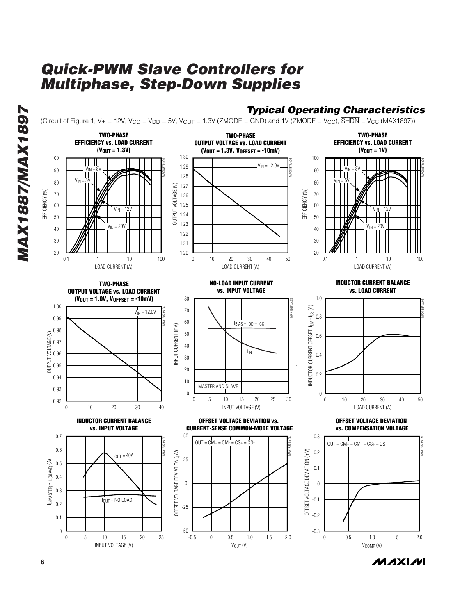

**MAXIM** 

**6 \_\_\_\_\_\_\_\_\_\_\_\_\_\_\_\_\_\_\_\_\_\_\_\_\_\_\_\_\_\_\_\_\_\_\_\_\_\_\_\_\_\_\_\_\_\_\_\_\_\_\_\_\_\_\_\_\_\_\_\_\_\_\_\_\_\_\_\_\_\_\_\_\_\_\_\_\_\_\_\_\_\_\_\_\_\_\_**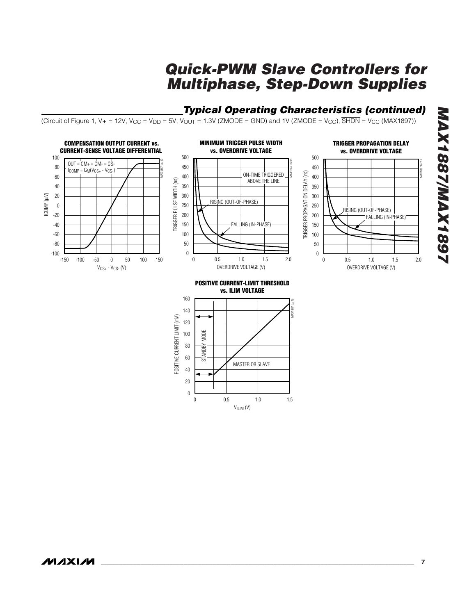### *Typical Operating Characteristics (continued)*

(Circuit of Figure 1, V+ = 12V, V<sub>CC</sub> = V<sub>DD</sub> = 5V, V<sub>OUT</sub> = 1.3V (ZMODE = GND) and 1V (ZMODE = V<sub>CC</sub>),  $\overline{\text{SHDN}}$  = V<sub>CC</sub> (MAX1897))

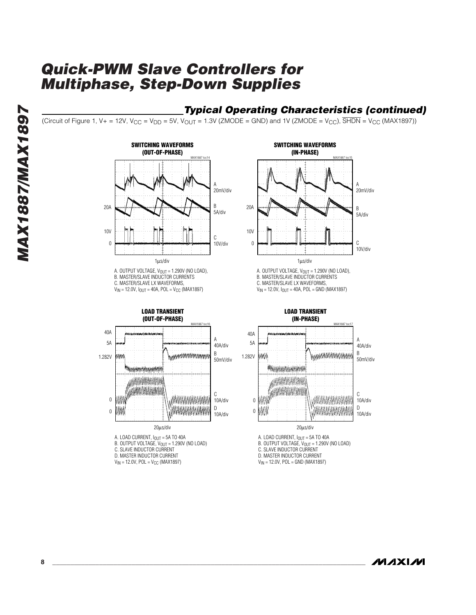### *Typical Operating Characteristics (continued)*

(Circuit of Figure 1, V+ = 12V, V<sub>CC</sub> = V<sub>DD</sub> = 5V, V<sub>OUT</sub> = 1.3V (ZMODE = GND) and 1V (ZMODE = V<sub>CC</sub>), SHDN = V<sub>CC</sub> (MAX1897))



 $V_{IN}$  = 12.0V,  $I_{OUT}$  = 40A, POL = V<sub>CC</sub> (MAX1897)



- B. OUTPUT VOLTAGE,  $V_{\text{OUT}} = 1.290V$  (NO LOAD)
- C. SLAVE INDUCTOR CURRENT
- D. MASTER INDUCTOR CURRENT
- $V_{IN} = 12.0V$ , POL =  $V_{CC}$  (MAX1897)



A. OUTPUT VOLTAGE,  $V_{OUT} = 1.290V$  (NO LOAD), B. MASTER/SLAVE INDUCTOR CURRENTS C. MASTER/SLAVE LX WAVEFORMS  $V_{IN}$  = 12.0V,  $I_{OUT}$  = 40A, POL = GND (MAX1897)



- A. LOAD CURRENT,  $I_{OUT} = 5A$  TO 40A
- B. OUTPUT VOLTAGE,  $V_{\text{OUT}} = 1.290V$  (NO LOAD)
- C. SLAVE INDUCTOR CURRENT
- D. MASTER INDUCTOR CURRENT
- $V_{IN}$  = 12.0V, POL = GND (MAX1897)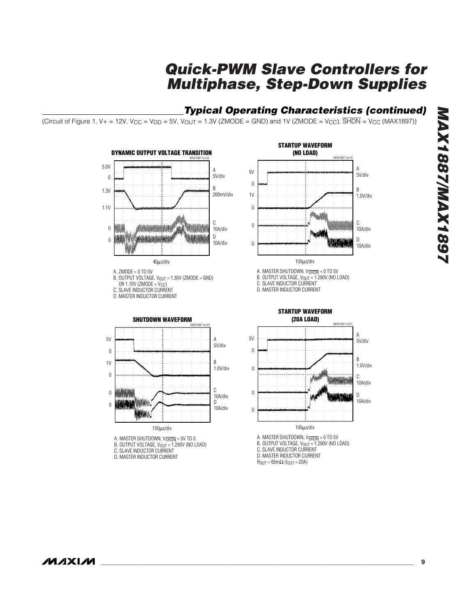### *Typical Operating Characteristics (continued)*

(Circuit of Figure 1, V+ = 12V, V<sub>CC</sub> = V<sub>DD</sub> = 5V, V<sub>OUT</sub> = 1.3V (ZMODE = GND) and 1V (ZMODE = V<sub>CC</sub>),  $\overline{SHDN}$  = V<sub>CC</sub> (MAX1897))

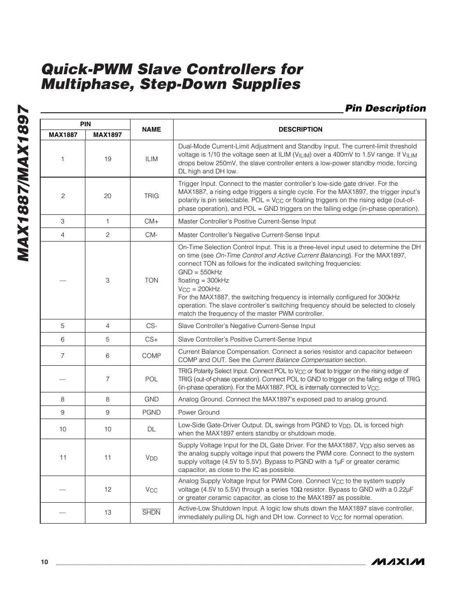### *Pin Description*

| <b>PIN</b>     |                |                       |                                                                                                                                                                                                                                                                                                                                                                                                                                                                                                                                     |  |  |
|----------------|----------------|-----------------------|-------------------------------------------------------------------------------------------------------------------------------------------------------------------------------------------------------------------------------------------------------------------------------------------------------------------------------------------------------------------------------------------------------------------------------------------------------------------------------------------------------------------------------------|--|--|
| <b>MAX1887</b> | <b>MAX1897</b> | <b>NAME</b>           | <b>DESCRIPTION</b>                                                                                                                                                                                                                                                                                                                                                                                                                                                                                                                  |  |  |
| 1              | 19             | <b>ILIM</b>           | Dual-Mode Current-Limit Adjustment and Standby Input. The current-limit threshold<br>voltage is 1/10 the voltage seen at ILIM ( $V_{\text{ILIM}}$ ) over a 400mV to 1.5V range. If V <sub>ILIM</sub><br>drops below 250mV, the slave controller enters a low-power standby mode, forcing<br>DL high and DH low.                                                                                                                                                                                                                     |  |  |
| 2              | 20             | <b>TRIG</b>           | Trigger Input. Connect to the master controller's low-side gate driver. For the<br>MAX1887, a rising edge triggers a single cycle. For the MAX1897, the trigger input's<br>polarity is pin selectable. POL = $V_{CC}$ or floating triggers on the rising edge (out-of-<br>phase operation), and $POL = GND$ triggers on the falling edge (in-phase operation).                                                                                                                                                                      |  |  |
| 3              | $\mathbf{1}$   | $CM+$                 | Master Controller's Positive Current-Sense Input                                                                                                                                                                                                                                                                                                                                                                                                                                                                                    |  |  |
| 4              | $\mathbf{2}$   | CM-                   | Master Controller's Negative Current-Sense Input                                                                                                                                                                                                                                                                                                                                                                                                                                                                                    |  |  |
|                | 3              | <b>TON</b>            | On-Time Selection Control Input. This is a three-level input used to determine the DH<br>on time (see On-Time Control and Active Current Balancing). For the MAX1897,<br>connect TON as follows for the indicated switching frequencies:<br>$GND = 550kHz$<br>$floating = 300kHz$<br>$V_{CC} = 200kHz.$<br>For the MAX1887, the switching frequency is internally configured for 300kHz<br>operation. The slave controller's switching frequency should be selected to closely<br>match the frequency of the master PWM controller. |  |  |
| 5              | $\overline{4}$ | CS-                   | Slave Controller's Negative Current-Sense Input                                                                                                                                                                                                                                                                                                                                                                                                                                                                                     |  |  |
| 6              | 5              | $CS+$                 | Slave Controller's Positive Current-Sense Input                                                                                                                                                                                                                                                                                                                                                                                                                                                                                     |  |  |
| $\overline{7}$ | 6              | <b>COMP</b>           | Current Balance Compensation. Connect a series resistor and capacitor between<br>COMP and OUT. See the Current Balance Compensation section.                                                                                                                                                                                                                                                                                                                                                                                        |  |  |
|                | $\overline{7}$ | <b>POL</b>            | TRIG Polarity Select Input. Connect POL to $V_{CC}$ or float to trigger on the rising edge of<br>TRIG (out-of-phase operation). Connect POL to GND to trigger on the falling edge of TRIG<br>(in-phase operation). For the MAX1887, POL is internally connected to V <sub>CC</sub> .                                                                                                                                                                                                                                                |  |  |
| 8              | 8              | <b>GND</b>            | Analog Ground. Connect the MAX1897's exposed pad to analog ground.                                                                                                                                                                                                                                                                                                                                                                                                                                                                  |  |  |
| 9              | 9              | <b>PGND</b>           | Power Ground                                                                                                                                                                                                                                                                                                                                                                                                                                                                                                                        |  |  |
| 10             | 10             | DL                    | Low-Side Gate-Driver Output. DL swings from PGND to V <sub>DD</sub> . DL is forced high<br>when the MAX1897 enters standby or shutdown mode.                                                                                                                                                                                                                                                                                                                                                                                        |  |  |
| 11             | 11             | V <sub>DD</sub>       | Supply Voltage Input for the DL Gate Driver. For the MAX1887, V <sub>DD</sub> also serves as<br>the analog supply voltage input that powers the PWM core. Connect to the system<br>supply voltage (4.5V to 5.5V). Bypass to PGND with a 1µF or greater ceramic<br>capacitor, as close to the IC as possible.                                                                                                                                                                                                                        |  |  |
|                | 12             | <b>V<sub>CC</sub></b> | Analog Supply Voltage Input for PWM Core. Connect V <sub>CC</sub> to the system supply<br>voltage (4.5V to 5.5V) through a series $10\Omega$ resistor. Bypass to GND with a 0.22 $\mu$ F<br>or greater ceramic capacitor, as close to the MAX1897 as possible.                                                                                                                                                                                                                                                                      |  |  |
|                | 13             | <b>SHDN</b>           | Active-Low Shutdown Input. A logic low shuts down the MAX1897 slave controller,<br>immediately pulling DL high and DH low. Connect to V <sub>CC</sub> for normal operation.                                                                                                                                                                                                                                                                                                                                                         |  |  |

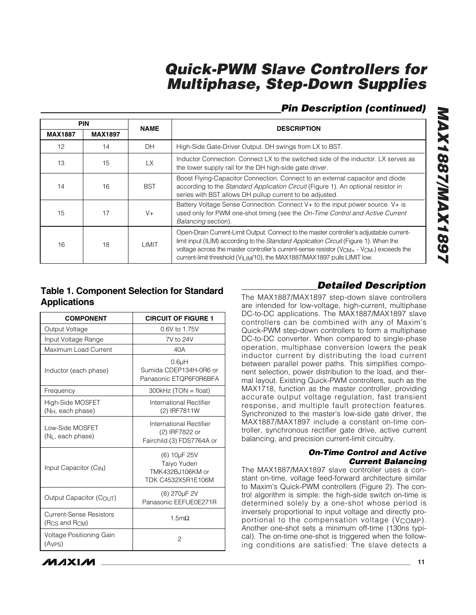### *Pin Description (continued)*

| <b>PIN</b>     |                | <b>NAME</b> | <b>DESCRIPTION</b>                                                                                                                                                                                                                                                                                                                                                                             |  |  |
|----------------|----------------|-------------|------------------------------------------------------------------------------------------------------------------------------------------------------------------------------------------------------------------------------------------------------------------------------------------------------------------------------------------------------------------------------------------------|--|--|
| <b>MAX1887</b> | <b>MAX1897</b> |             |                                                                                                                                                                                                                                                                                                                                                                                                |  |  |
| 12             | 14             | DH          | High-Side Gate-Driver Output. DH swings from LX to BST.                                                                                                                                                                                                                                                                                                                                        |  |  |
| 13             | 15             | <b>LX</b>   | Inductor Connection. Connect LX to the switched side of the inductor. LX serves as<br>the lower supply rail for the DH high-side gate driver.                                                                                                                                                                                                                                                  |  |  |
| 14             | 16             | <b>BST</b>  | Boost Flying-Capacitor Connection. Connect to an external capacitor and diode<br>according to the Standard Application Circuit (Figure 1). An optional resistor in<br>series with BST allows DH pullup current to be adjusted.                                                                                                                                                                 |  |  |
| 15             | 17             | $V +$       | Battery Voltage Sense Connection. Connect V+ to the input power source. V+ is<br>used only for PWM one-shot timing (see the On-Time Control and Active Current<br>Balancing section).                                                                                                                                                                                                          |  |  |
| 16             | 18             | LIMIT       | Open-Drain Current-Limit Output. Connect to the master controller's adjustable current-<br>limit input (ILIM) according to the Standard Application Circuit (Figure 1). When the<br>voltage across the master controller's current-sense resistor ( $V_{\text{CM}+}$ - $V_{\text{CM}-}$ ) exceeds the<br>current-limit threshold (V <sub>ILIM</sub> /10), the MAX1887/MAX1897 pulls LIMIT low. |  |  |

### **Table 1. Component Selection for Standard Applications**

| <b>COMPONENT</b>                                  | <b>CIRCUIT OF FIGURE 1</b>                                             |
|---------------------------------------------------|------------------------------------------------------------------------|
| Output Voltage                                    | 0.6V to 1.75V                                                          |
| Input Voltage Range                               | 7V to 24V                                                              |
| Maximum Load Current                              | 40A                                                                    |
| Inductor (each phase)                             | 0.6 <sub>µ</sub> H<br>Sumida CDEP134H-0R6 or<br>Panasonic ETQP6F0R6BFA |
| Frequency                                         | $300kHz$ (TON = float)                                                 |
| High-Side MOSFET<br>(N <sub>H</sub> , each phase) | International Rectifier<br>(2) IRF7811W                                |
| Low-Side MOSFET<br>$(N_L,$ each phase)            | International Rectifier<br>(2) IRF7822 or<br>Fairchild (3) FDS7764A or |
| Input Capacitor (C <sub>IN</sub> )                | (6) 10µF 25V<br>Taiyo Yuden<br>TMK432BJ106KM or<br>TDK C4532X5R1E106M  |
| Output Capacitor $(COU)$                          | (8) 270 <sub>µ</sub> F 2V<br>Panasonic EEFUE0E271R                     |
| Current-Sense Resistors<br>(Rcs and Rcm)          | 1.5 $m\Omega$                                                          |
| Voltage Positioning Gain<br>(AVPS)                | $\overline{c}$                                                         |

### *Detailed Description*

The MAX1887/MAX1897 step-down slave controllers are intended for low-voltage, high-current, multiphase DC-to-DC applications. The MAX1887/MAX1897 slave controllers can be combined with any of Maxim's Quick-PWM step-down controllers to form a multiphase DC-to-DC converter. When compared to single-phase operation, multiphase conversion lowers the peak inductor current by distributing the load current between parallel power paths. This simplifies component selection, power distribution to the load, and thermal layout. Existing Quick-PWM controllers, such as the MAX1718, function as the master controller, providing accurate output voltage regulation, fast transient response, and multiple fault protection features. Synchronized to the master's low-side gate driver, the MAX1887/MAX1897 include a constant on-time controller, synchronous rectifier gate drive, active current balancing, and precision current-limit circuitry.

#### *On-Time Control and Active Current Balancing*

The MAX1887/MAX1897 slave controller uses a constant on-time, voltage feed-forward architecture similar to Maxim's Quick-PWM controllers (Figure 2). The control algorithm is simple: the high-side switch on-time is determined solely by a one-shot whose period is inversely proportional to input voltage and directly proportional to the compensation voltage (V<sub>COMP</sub>). Another one-shot sets a minimum off-time (130ns typical). The on-time one-shot is triggered when the following conditions are satisfied: The slave detects a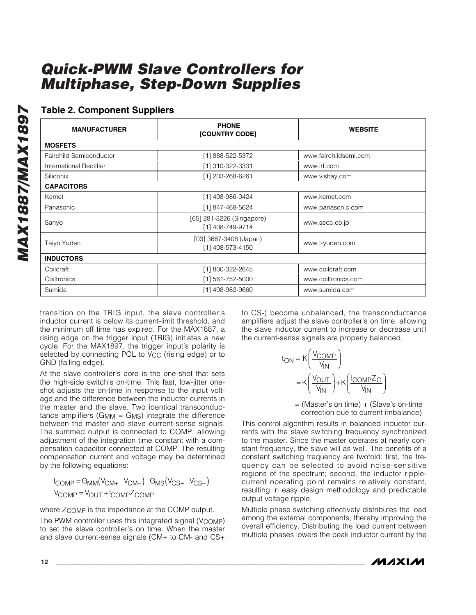### **Table 2. Component Suppliers**

| <b>MANUFACTURER</b>     | <b>PHONE</b><br>[COUNTRY CODE]                | <b>WEBSITE</b>        |
|-------------------------|-----------------------------------------------|-----------------------|
| <b>MOSFETS</b>          |                                               |                       |
| Fairchild Semiconductor | [1] 888-522-5372                              | www.fairchildsemi.com |
| International Rectifier | [1] 310-322-3331                              | www.irf.com           |
| Siliconix               | [1] 203-268-6261                              | www.vishay.com        |
| <b>CAPACITORS</b>       |                                               |                       |
| Kemet                   | [1] 408-986-0424                              | www.kemet.com         |
| Panasonic               | [1] 847-468-5624                              | www.panasonic.com     |
| Sanyo                   | [65] 281-3226 (Singapore)<br>[1] 408-749-9714 | www.secc.co.jp        |
| Taiyo Yuden             | $[03]$ 3667-3408 (Japan)<br>[1] 408-573-4150  | www.t-yuden.com       |
| <b>INDUCTORS</b>        |                                               |                       |
| Coilcraft               | [1] 800-322-2645                              | www.coilcraft.com     |
| Coiltronics             | [1] 561-752-5000                              | www.coiltronics.com   |
| Sumida                  | [1] 408-982-9660                              | www.sumida.com        |

transition on the TRIG input, the slave controller's inductor current is below its current-limit threshold, and the minimum off time has expired. For the MAX1887, a rising edge on the trigger input (TRIG) initiates a new cycle. For the MAX1897, the trigger input's polarity is selected by connecting POL to V<sub>CC</sub> (rising edge) or to GND (falling edge).

At the slave controller's core is the one-shot that sets the high-side switch's on-time. This fast, low-jitter oneshot adjusts the on-time in response to the input voltage and the difference between the inductor currents in the master and the slave. Two identical transconductance amplifiers ( $G_{MM} = G_{MS}$ ) integrate the difference between the master and slave current-sense signals. The summed output is connected to COMP, allowing adjustment of the integration time constant with a compensation capacitor connected at COMP. The resulting compensation current and voltage may be determined by the following equations:

$$
I_{COMP} = G_{MM}(V_{CM+} - V_{CM-}) - G_{MS}(V_{CS+} - V_{CS-})
$$
  

$$
V_{COMP} = V_{OUT} + I_{COMP} Z_{COMP}
$$

where  $Z_{\text{COMP}}$  is the impedance at the COMP output.

The PWM controller uses this integrated signal (V<sub>COMP</sub>) to set the slave controller's on time. When the master and slave current-sense signals (CM+ to CM- and CS+

to CS-) become unbalanced, the transconductance amplifiers adjust the slave controller's on time, allowing the slave inductor current to increase or decrease until the current-sense signals are properly balanced.

$$
t_{ON} = K \left( \frac{V_{COMP}}{V_{IN}} \right)
$$

$$
= K \left( \frac{V_{OUT}}{V_{IN}} \right) + K \left( \frac{I_{COMP}Z_{C}}{V_{IN}} \right)
$$

= (Master's on time) + (Slave's on-time correction due to current imbalance)

This control algorithm results in balanced inductor currents with the slave switching frequency synchronized to the master. Since the master operates at nearly constant frequency, the slave will as well. The benefits of a constant switching frequency are twofold: first, the frequency can be selected to avoid noise-sensitive regions of the spectrum; second, the inductor ripplecurrent operating point remains relatively constant, resulting in easy design methodology and predictable output voltage ripple.

Multiple phase switching effectively distributes the load among the external components, thereby improving the overall efficiency. Distributing the load current between multiple phases lowers the peak inductor current by the

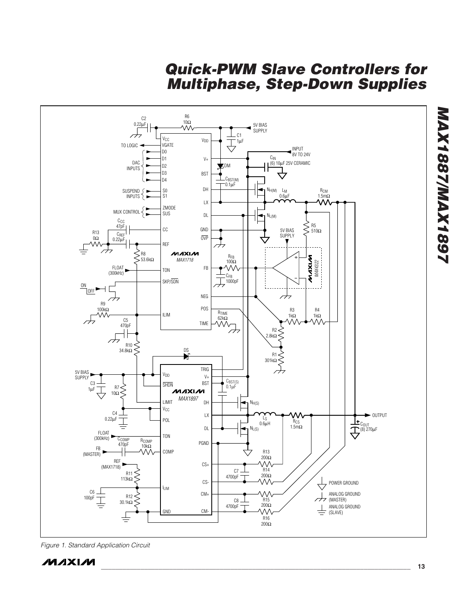

*Figure 1. Standard Application Circuit*

*MAX1887/MAX1897*

**MAX1887/MAX1897**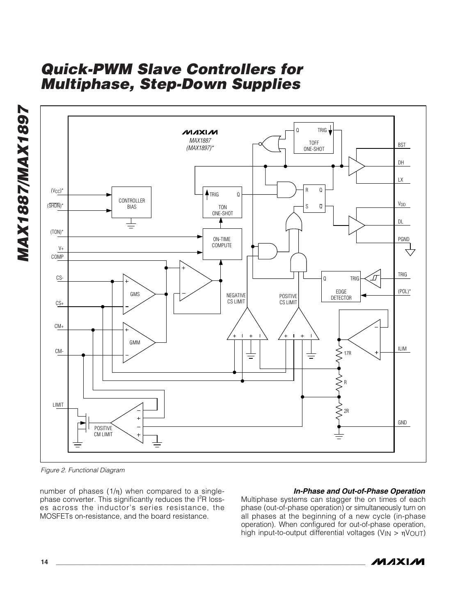



*Figure 2. Functional Diagram*

number of phases  $(1/\eta)$  when compared to a singlephase converter. This significantly reduces the  $1<sup>2</sup>R$  losses across the inductor's series resistance, the MOSFETs on-resistance, and the board resistance.

#### *In-Phase and Out-of-Phase Operation*

Multiphase systems can stagger the on times of each phase (out-of-phase operation) or simultaneously turn on all phases at the beginning of a new cycle (in-phase operation). When configured for out-of-phase operation, high input-to-output differential voltages (V<sub>IN</sub> > ηV<sub>OUT</sub>)

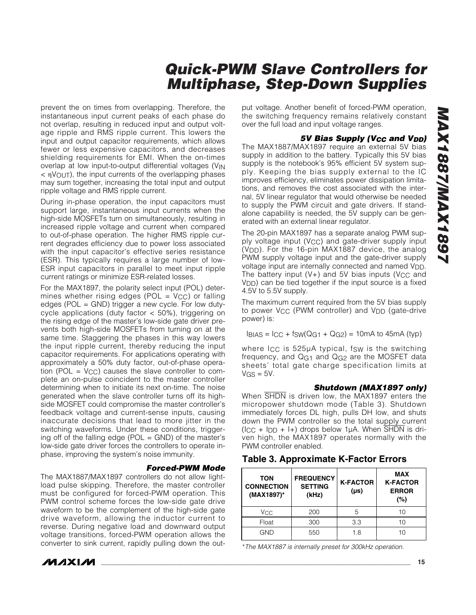prevent the on times from overlapping. Therefore, the instantaneous input current peaks of each phase do not overlap, resulting in reduced input and output voltage ripple and RMS ripple current. This lowers the input and output capacitor requirements, which allows fewer or less expensive capacitors, and decreases shielding requirements for EMI. When the on-times overlap at low input-to-output differential voltages (V<sub>IN</sub> < ηVOUT), the input currents of the overlapping phases may sum together, increasing the total input and output ripple voltage and RMS ripple current.

During in-phase operation, the input capacitors must support large, instantaneous input currents when the high-side MOSFETs turn on simultaneously, resulting in increased ripple voltage and current when compared to out-of-phase operation. The higher RMS ripple current degrades efficiency due to power loss associated with the input capacitor's effective series resistance (ESR). This typically requires a large number of low-ESR input capacitors in parallel to meet input ripple current ratings or minimize ESR-related losses.

For the MAX1897, the polarity select input (POL) determines whether rising edges (POL =  $V_{CC}$ ) or falling edges (POL = GND) trigger a new cycle. For low dutycycle applications (duty factor < 50%), triggering on the rising edge of the master's low-side gate driver prevents both high-side MOSFETs from turning on at the same time. Staggering the phases in this way lowers the input ripple current, thereby reducing the input capacitor requirements. For applications operating with approximately a 50% duty factor, out-of-phase operation (POL =  $V_{CC}$ ) causes the slave controller to complete an on-pulse coincident to the master controller determining when to initiate its next on-time. The noise generated when the slave controller turns off its highside MOSFET could compromise the master controller's feedback voltage and current-sense inputs, causing inaccurate decisions that lead to more jitter in the switching waveforms. Under these conditions, triggering off of the falling edge ( $POL = GND$ ) of the master's low-side gate driver forces the controllers to operate inphase, improving the system's noise immunity.

#### *Forced-PWM Mode*

The MAX1887/MAX1897 controllers do not allow lightload pulse skipping. Therefore, the master controller must be configured for forced-PWM operation. This PWM control scheme forces the low-side gate drive waveform to be the complement of the high-side gate drive waveform, allowing the inductor current to reverse. During negative load and downward output voltage transitions, forced-PWM operation allows the converter to sink current, rapidly pulling down the out-

put voltage. Another benefit of forced-PWM operation, the switching frequency remains relatively constant over the full load and input voltage ranges.

#### **5V Bias Supply (V<sub>CC</sub> and V<sub>DD</sub>)**

The MAX1887/MAX1897 require an external 5V bias supply in addition to the battery. Typically this 5V bias supply is the notebook's 95% efficient 5V system supply. Keeping the bias supply external to the IC improves efficiency, eliminates power dissipation limitations, and removes the cost associated with the internal, 5V linear regulator that would otherwise be needed to supply the PWM circuit and gate drivers. If standalone capability is needed, the 5V supply can be generated with an external linear regulator.

The 20-pin MAX1897 has a separate analog PWM supply voltage input (V<sub>CC</sub>) and gate-driver supply input (VDD). For the 16-pin MAX1887 device, the analog PWM supply voltage input and the gate-driver supply voltage input are internally connected and named  $V_{DD}$ . The battery input  $(V+)$  and 5V bias inputs (V<sub>CC</sub> and V<sub>DD</sub>) can be tied together if the input source is a fixed 4.5V to 5.5V supply.

The maximum current required from the 5V bias supply to power V<sub>CC</sub> (PWM controller) and V<sub>DD</sub> (gate-drive power) is:

 $I_{\text{BIAS}} = I_{\text{CC}} + f_{\text{SW}}(Q_{G1} + Q_{G2}) = 10 \text{mA}$  to 45mA (typ)

where I<sub>CC</sub> is 525µA typical, fsw is the switching frequency, and  $Q<sub>G1</sub>$  and  $Q<sub>G2</sub>$  are the MOSFET data sheets' total gate charge specification limits at  $VGS = 5V$ .

#### *Shutdown (MAX1897 only)*

When  $\overline{\text{SHDN}}$  is driven low, the MAX1897 enters the micropower shutdown mode (Table 3). Shutdown immediately forces DL high, pulls DH low, and shuts down the PWM controller so the total supply current  $(ICC + IDD + I+)$  drops below 1µA. When SHDN is driven high, the MAX1897 operates normally with the PWM controller enabled.

|  |  | <b>Table 3. Approximate K-Factor Errors</b> |  |  |
|--|--|---------------------------------------------|--|--|
|--|--|---------------------------------------------|--|--|

| <b>TON</b><br><b>CONNECTION</b><br>(MAX1897)* | <b>FREQUENCY</b><br><b>SETTING</b><br>(kHz) | <b>K-FACTOR</b><br>$(\mu s)$ | <b>MAX</b><br><b>K-FACTOR</b><br><b>ERROR</b><br>(%) |  |  |
|-----------------------------------------------|---------------------------------------------|------------------------------|------------------------------------------------------|--|--|
| Vcc                                           | 200                                         | 5                            | 10                                                   |  |  |
| Float                                         | 300                                         | 3.3                          | 10                                                   |  |  |
| GND                                           | 550                                         | 1.8                          | 10                                                   |  |  |

\**The MAX1887 is internally preset for 300kHz operation.*

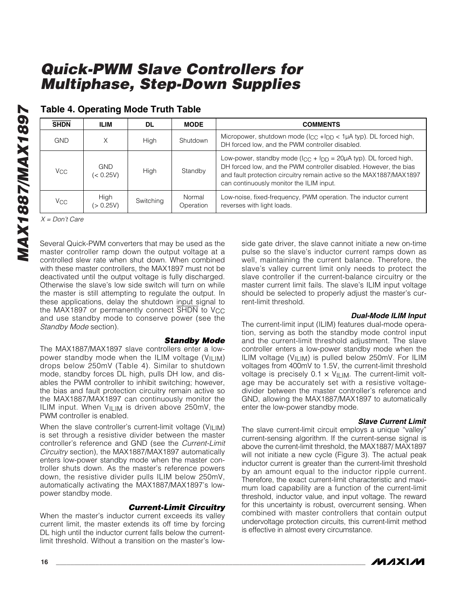| <b>SHDN</b>     | <b>ILIM</b>             | <b>DL</b> | <b>MODE</b>         | <b>COMMENTS</b>                                                                                                                                                                                                                                                 |
|-----------------|-------------------------|-----------|---------------------|-----------------------------------------------------------------------------------------------------------------------------------------------------------------------------------------------------------------------------------------------------------------|
| GND             | Χ                       | High      | Shutdown            | Micropower, shutdown mode ( $ _{CC}$ + $ _{DD}$ < 1 $\mu$ A typ). DL forced high,<br>DH forced low, and the PWM controller disabled.                                                                                                                            |
| Vcc.            | <b>GND</b><br>(< 0.25V) | High      | Standby             | Low-power, standby mode ( $\log + \log = 20\mu$ A typ). DL forced high,<br>DH forced low, and the PWM controller disabled. However, the bias<br>and fault protection circuitry remain active so the MAX1887/MAX1897<br>can continuously monitor the ILIM input. |
| V <sub>CC</sub> | High<br>(> 0.25V)       | Switching | Normal<br>Operation | Low-noise, fixed-frequency, PWM operation. The inductor current<br>reverses with light loads.                                                                                                                                                                   |

### **Table 4. Operating Mode Truth Table**

*X = Don't Care*

Several Quick-PWM converters that may be used as the master controller ramp down the output voltage at a controlled slew rate when shut down. When combined with these master controllers, the MAX1897 must not be deactivated until the output voltage is fully discharged. Otherwise the slave's low side switch will turn on while the master is still attempting to regulate the output. In these applications, delay the shutdown input signal to the MAX1897 or permanently connect SHDN to V<sub>CC</sub> and use standby mode to conserve power (see the *Standby Mode* section).

*Standby Mode* The MAX1887/MAX1897 slave controllers enter a lowpower standby mode when the ILIM voltage ( $V<sub>ILIM</sub>$ ) drops below 250mV (Table 4). Similar to shutdown mode, standby forces DL high, pulls DH low, and disables the PWM controller to inhibit switching; however, the bias and fault protection circuitry remain active so the MAX1887/MAX1897 can continuously monitor the ILIM input. When  $V_{\text{ILM}}$  is driven above 250mV, the PWM controller is enabled.

When the slave controller's current-limit voltage ( $V<sub>ILIM</sub>$ ) is set through a resistive divider between the master controller's reference and GND (see the *Current-Limit Circuitry* section), the MAX1887/MAX1897 automatically enters low-power standby mode when the master controller shuts down. As the master's reference powers down, the resistive divider pulls ILIM below 250mV, automatically activating the MAX1887/MAX1897's lowpower standby mode.

#### *Current-Limit Circuitry*

When the master's inductor current exceeds its valley current limit, the master extends its off time by forcing DL high until the inductor current falls below the currentlimit threshold. Without a transition on the master's lowside gate driver, the slave cannot initiate a new on-time pulse so the slave's inductor current ramps down as well, maintaining the current balance. Therefore, the slave's valley current limit only needs to protect the slave controller if the current-balance circuitry or the master current limit fails. The slave's ILIM input voltage should be selected to properly adjust the master's current-limit threshold.

#### *Dual-Mode ILIM Input*

The current-limit input (ILIM) features dual-mode operation, serving as both the standby mode control input and the current-limit threshold adjustment. The slave controller enters a low-power standby mode when the ILIM voltage (VILIM) is pulled below 250mV. For ILIM voltages from 400mV to 1.5V, the current-limit threshold voltage is precisely  $0.1 \times V_{\text{ILIM}}$ . The current-limit voltage may be accurately set with a resistive voltagedivider between the master controller's reference and GND, allowing the MAX1887/MAX1897 to automatically enter the low-power standby mode.

#### *Slave Current Limit*

The slave current-limit circuit employs a unique "valley" current-sensing algorithm. If the current-sense signal is above the current-limit threshold, the MAX1887/ MAX1897 will not initiate a new cycle (Figure 3). The actual peak inductor current is greater than the current-limit threshold by an amount equal to the inductor ripple current. Therefore, the exact current-limit characteristic and maximum load capability are a function of the current-limit threshold, inductor value, and input voltage. The reward for this uncertainty is robust, overcurrent sensing. When combined with master controllers that contain output undervoltage protection circuits, this current-limit method is effective in almost every circumstance.

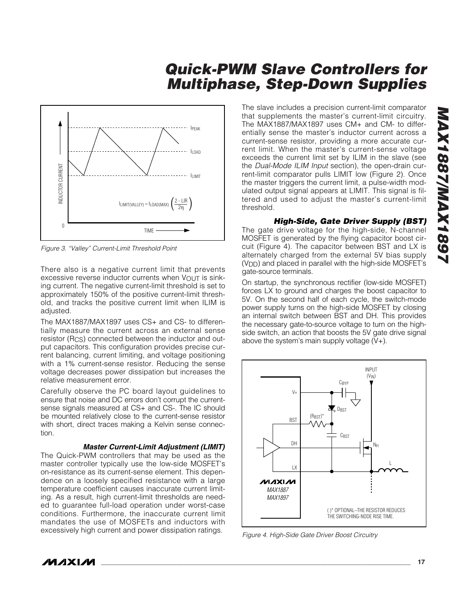

*Figure 3. "Valley" Current-Limit Threshold Point*

There also is a negative current limit that prevents excessive reverse inductor currents when  $V_{\text{OUT}}$  is sinking current. The negative current-limit threshold is set to approximately 150% of the positive current-limit threshold, and tracks the positive current limit when ILIM is adjusted.

The MAX1887/MAX1897 uses CS+ and CS- to differentially measure the current across an external sense resistor (R<sub>CS</sub>) connected between the inductor and output capacitors. This configuration provides precise current balancing, current limiting, and voltage positioning with a 1% current-sense resistor. Reducing the sense voltage decreases power dissipation but increases the relative measurement error.

Carefully observe the PC board layout guidelines to ensure that noise and DC errors don't corrupt the currentsense signals measured at CS+ and CS-. The IC should be mounted relatively close to the current-sense resistor with short, direct traces making a Kelvin sense connection.

#### *Master Current-Limit Adjustment (LIMIT)*

The Quick-PWM controllers that may be used as the master controller typically use the low-side MOSFET's on-resistance as its current-sense element. This dependence on a loosely specified resistance with a large temperature coefficient causes inaccurate current limiting. As a result, high current-limit thresholds are needed to guarantee full-load operation under worst-case conditions. Furthermore, the inaccurate current limit mandates the use of MOSFETs and inductors with excessively high current and power dissipation ratings.

The slave includes a precision current-limit comparator that supplements the master's current-limit circuitry. The MAX1887/MAX1897 uses CM+ and CM- to differentially sense the master's inductor current across a current-sense resistor, providing a more accurate current limit. When the master's current-sense voltage exceeds the current limit set by ILIM in the slave (see the *Dual-Mode ILIM Input* section), the open-drain current-limit comparator pulls LIMIT low (Figure 2). Once the master triggers the current limit, a pulse-width modulated output signal appears at LIMIT. This signal is filtered and used to adjust the master's current-limit threshold.

*High-Side, Gate Driver Supply (BST)* The gate drive voltage for the high-side, N-channel MOSFET is generated by the flying capacitor boost circuit (Figure 4). The capacitor between BST and LX is alternately charged from the external 5V bias supply (VDD) and placed in parallel with the high-side MOSFET's gate-source terminals.

On startup, the synchronous rectifier (low-side MOSFET) forces LX to ground and charges the boost capacitor to 5V. On the second half of each cycle, the switch-mode power supply turns on the high-side MOSFET by closing an internal switch between BST and DH. This provides the necessary gate-to-source voltage to turn on the highside switch, an action that boosts the 5V gate drive signal above the system's main supply voltage  $(V+)$ .



*Figure 4. High-Side Gate Driver Boost Circuitry*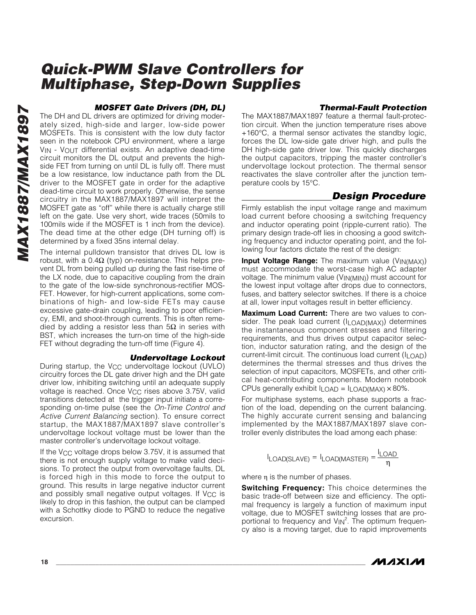#### *MOSFET Gate Drivers (DH, DL)*

The DH and DL drivers are optimized for driving moderately sized, high-side and larger, low-side power MOSFETs. This is consistent with the low duty factor seen in the notebook CPU environment, where a large VIN - VOUT differential exists. An adaptive dead-time circuit monitors the DL output and prevents the highside FET from turning on until DL is fully off. There must be a low resistance, low inductance path from the DL driver to the MOSFET gate in order for the adaptive dead-time circuit to work properly. Otherwise, the sense circuitry in the MAX1887/MAX1897 will interpret the MOSFET gate as "off" while there is actually charge still left on the gate. Use very short, wide traces (50mils to 100mils wide if the MOSFET is 1 inch from the device). The dead time at the other edge (DH turning off) is determined by a fixed 35ns internal delay.

The internal pulldown transistor that drives DL low is robust, with a  $0.4Ω$  (typ) on-resistance. This helps prevent DL from being pulled up during the fast rise-time of the LX node, due to capacitive coupling from the drain to the gate of the low-side synchronous-rectifier MOS-FET. However, for high-current applications, some combinations of high- and low-side FETs may cause excessive gate-drain coupling, leading to poor efficiency, EMI, and shoot-through currents. This is often remedied by adding a resistor less than  $5Ω$  in series with BST, which increases the turn-on time of the high-side FET without degrading the turn-off time (Figure 4).

#### *Undervoltage Lockout*

During startup, the V<sub>CC</sub> undervoltage lockout (UVLO) circuitry forces the DL gate driver high and the DH gate driver low, inhibiting switching until an adequate supply voltage is reached. Once V<sub>CC</sub> rises above 3.75V, valid transitions detected at the trigger input initiate a corresponding on-time pulse (see the *On-Time Control and Active Current Balancing* section). To ensure correct startup, the MAX1887/MAX1897 slave controller's undervoltage lockout voltage must be lower than the master controller's undervoltage lockout voltage.

If the V<sub>CC</sub> voltage drops below 3.75V, it is assumed that there is not enough supply voltage to make valid decisions. To protect the output from overvoltage faults, DL is forced high in this mode to force the output to ground. This results in large negative inductor current and possibly small negative output voltages. If  $V_{CC}$  is likely to drop in this fashion, the output can be clamped with a Schottky diode to PGND to reduce the negative excursion.

#### *Thermal-Fault Protection*

The MAX1887/MAX1897 feature a thermal fault-protection circuit. When the junction temperature rises above +160°C, a thermal sensor activates the standby logic, forces the DL low-side gate driver high, and pulls the DH high-side gate driver low. This quickly discharges the output capacitors, tripping the master controller's undervoltage lockout protection. The thermal sensor reactivates the slave controller after the junction temperature cools by 15°C.

### *Design Procedure*

Firmly establish the input voltage range and maximum load current before choosing a switching frequency and inductor operating point (ripple-current ratio). The primary design trade-off lies in choosing a good switching frequency and inductor operating point, and the following four factors dictate the rest of the design:

**Input Voltage Range:** The maximum value (VIN(MAX)) must accommodate the worst-case high AC adapter voltage. The minimum value (VIN(MIN)) must account for the lowest input voltage after drops due to connectors, fuses, and battery selector switches. If there is a choice at all, lower input voltages result in better efficiency.

**Maximum Load Current:** There are two values to consider. The peak load current (I<sub>LOAD(MAX)</sub>) determines the instantaneous component stresses and filtering requirements, and thus drives output capacitor selection, inductor saturation rating, and the design of the current-limit circuit. The continuous load current (ILOAD) determines the thermal stresses and thus drives the selection of input capacitors, MOSFETs, and other critical heat-contributing components. Modern notebook CPUs generally exhibit  $I$ <sub>LOAD</sub> =  $I$ <sub>LOAD</sub>(MAX)  $\times$  80%.

For multiphase systems, each phase supports a fraction of the load, depending on the current balancing. The highly accurate current sensing and balancing implemented by the MAX1887/MAX1897 slave controller evenly distributes the load among each phase:

$$
I_{LOAD(SLAVE)} = I_{LOAD(MASTER)} = \frac{I_{LOAD}}{\eta}
$$

where η is the number of phases.

**Switching Frequency:** This choice determines the basic trade-off between size and efficiency. The optimal frequency is largely a function of maximum input voltage, due to MOSFET switching losses that are proportional to frequency and  $V_{IN}^2$ . The optimum frequency also is a moving target, due to rapid improvements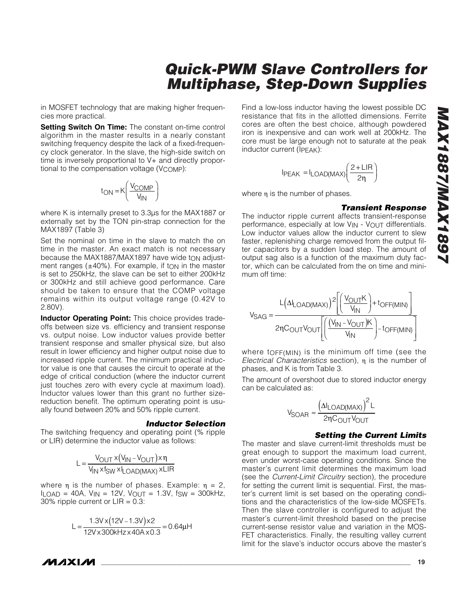# *Multiphase, Step-Down Supplies* Find a low-loss inductor having the lowest possible DC resistance that fits in the allotted dimensions. Ferrite cores are often the best choice, although powdered iron is inexpensive and can work well at 200kHz. The core must be large enough not to saturate at the peak

$$
I_{PEAK} = I_{LOAD(MAX)} \left( \frac{2 + LIR}{2\eta} \right)
$$

where η is the number of phases.

inductor current (IPEAK):

*Quick-PWM Slave Controllers for* 

#### *Transient Response*

The inductor ripple current affects transient-response performance, especially at low V<sub>IN</sub> - V<sub>OUT</sub> differentials. Low inductor values allow the inductor current to slew faster, replenishing charge removed from the output filter capacitors by a sudden load step. The amount of output sag also is a function of the maximum duty factor, which can be calculated from the on time and minimum off time:

$$
V_{SAG} = \frac{L(\Delta I_{LOAD(MAX)})^2 \left[ \left( \frac{V_{OUT}K}{V_{IN}} \right) + t_{OFF(MIN)} \right]}{2\eta C_{OUT}V_{OUT} \left[ \left( \frac{(V_{IN} - V_{OUT})K}{V_{IN}} \right) - t_{OFF(MIN)} \right]}
$$

where tOFF(MIN) is the minimum off time (see the *Electrical Characteristics* section), η is the number of phases, and K is from Table 3.

The amount of overshoot due to stored inductor energy can be calculated as:

$$
V_{SOAR} \approx \frac{\left(\Delta I_{LOAD(MAX)}\right)^2 L}{2\eta C_{OUT} V_{OUT}}
$$

#### *Setting the Current Limits*

The master and slave current-limit thresholds must be great enough to support the maximum load current, even under worst-case operating conditions. Since the master's current limit determines the maximum load (see the *Current-Limit Circuitry* section), the procedure for setting the current limit is sequential. First, the master's current limit is set based on the operating conditions and the characteristics of the low-side MOSFETs. Then the slave controller is configured to adjust the master's current-limit threshold based on the precise current-sense resistor value and variation in the MOS-FET characteristics. Finally, the resulting valley current limit for the slave's inductor occurs above the master's

in MOSFET technology that are making higher frequencies more practical.

**Setting Switch On Time:** The constant on-time control algorithm in the master results in a nearly constant switching frequency despite the lack of a fixed-frequency clock generator. In the slave, the high-side switch on time is inversely proportional to V+ and directly proportional to the compensation voltage ( $V_{\text{COMP}}$ ):

$$
t_{ON} = K \left( \frac{V_{COMP}}{V_{IN}} \right)
$$

where K is internally preset to 3.3µs for the MAX1887 or externally set by the TON pin-strap connection for the MAX1897 (Table 3)

Set the nominal on time in the slave to match the on time in the master. An exact match is not necessary because the MAX1887/MAX1897 have wide to adjustment ranges  $(\pm 40\%)$ . For example, if ton in the master is set to 250kHz, the slave can be set to either 200kHz or 300kHz and still achieve good performance. Care should be taken to ensure that the COMP voltage remains within its output voltage range (0.42V to 2.80V).

**Inductor Operating Point:** This choice provides tradeoffs between size vs. efficiency and transient response vs. output noise. Low inductor values provide better transient response and smaller physical size, but also result in lower efficiency and higher output noise due to increased ripple current. The minimum practical inductor value is one that causes the circuit to operate at the edge of critical conduction (where the inductor current just touches zero with every cycle at maximum load). Inductor values lower than this grant no further sizereduction benefit. The optimum operating point is usually found between 20% and 50% ripple current.

#### *Inductor Selection*

The switching frequency and operating point (% ripple or LIR) determine the inductor value as follows:

$$
L = \frac{V_{OUT} \times (V_{IN} - V_{OUT}) \times \eta}{V_{IN} \times f_{SW} \times I_{LOAD(MAX)} \times LIR}
$$

where  $\eta$  is the number of phases. Example:  $\eta = 2$ ,  $I_{LOAD}$  = 40A,  $V_{IN}$  = 12V,  $V_{OUT}$  = 1.3V,  $f_{SW}$  = 300kHz, 30% ripple current or  $LIR = 0.3$ :

$$
L = \frac{1.3V \times (12V - 1.3V) \times 2}{12V \times 300kHz \times 40A \times 0.3} = 0.64 \mu H
$$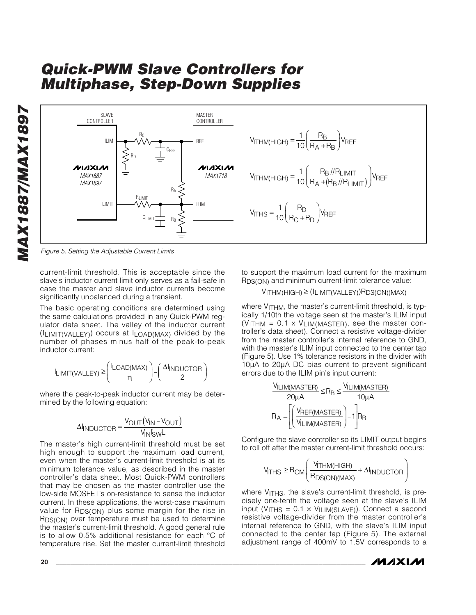*MAX1887/MAX1897* **MAX1887/MAX1897** 



*Figure 5. Setting the Adjustable Current Limits*

current-limit threshold. This is acceptable since the slave's inductor current limit only serves as a fail-safe in case the master and slave inductor currents become significantly unbalanced during a transient.

The basic operating conditions are determined using the same calculations provided in any Quick-PWM regulator data sheet. The valley of the inductor current (ILIMIT(VALLEY)) occurs at ILOAD(MAX) divided by the number of phases minus half of the peak-to-peak inductor current:

$$
I_{LIMIT(VALLEY)} \geq \left(\frac{I_{LOAD(MAX)}}{\eta}\right) - \left(\frac{\Delta I_{INDUCTOR}}{2}\right)
$$

where the peak-to-peak inductor current may be determined by the following equation:

$$
\Delta I_{INDUCTOR} = \frac{V_{OUT}(V_{IN} - V_{OUT})}{V_{IN}f_{SW}L}
$$

The master's high current-limit threshold must be set high enough to support the maximum load current, even when the master's current-limit threshold is at its minimum tolerance value, as described in the master controller's data sheet. Most Quick-PWM controllers that may be chosen as the master controller use the low-side MOSFET's on-resistance to sense the inductor current. In these applications, the worst-case maximum value for R<sub>DS(ON)</sub> plus some margin for the rise in RDS(ON) over temperature must be used to determine the master's current-limit threshold. A good general rule is to allow 0.5% additional resistance for each °C of temperature rise. Set the master current-limit threshold

to support the maximum load current for the maximum RDS(ON) and minimum current-limit tolerance value:

#### VITHM(HIGH) ≥ (ILIMIT(VALLEY))RDS(ON)(MAX)

where V<sub>ITHM</sub>, the master's current-limit threshold, is typically 1/10th the voltage seen at the master's ILIM input  $(V_{\text{ITHM}} = 0.1 \times V_{\text{LIM(MASTER)}}$ , see the master controller's data sheet). Connect a resistive voltage-divider from the master controller's internal reference to GND, with the master's ILIM input connected to the center tap (Figure 5). Use 1% tolerance resistors in the divider with 10µA to 20µA DC bias current to prevent significant errors due to the ILIM pin's input current:

$$
\frac{V_{ILIM(MASTER)}}{20 \mu A} \le R_B \le \frac{V_{ILIM(MASTER)}}{10 \mu A}
$$

$$
R_A = \left[ \left( \frac{V_{REF(MASTER)}}{V_{ILIM(MASTER)}} \right) - 1 \right] R_B
$$

Configure the slave controller so its LIMIT output begins to roll off after the master current-limit threshold occurs:

$$
V_{\text{THS}} \geq R_{\text{CM}} \left( \frac{V_{\text{THM(HIGH)}}}{R_{\text{DS(ON)(MAX)}}} + \Delta I_{\text{INDUCTOR}} \right)
$$

where V<sub>ITHS</sub>, the slave's current-limit threshold, is precisely one-tenth the voltage seen at the slave's ILIM input (V<sub>ITHS</sub> =  $0.1 \times$  V<sub>ILIM(SLAVE)</sub>). Connect a second resistive voltage-divider from the master controller's internal reference to GND, with the slave's ILIM input connected to the center tap (Figure 5). The external adjustment range of 400mV to 1.5V corresponds to a

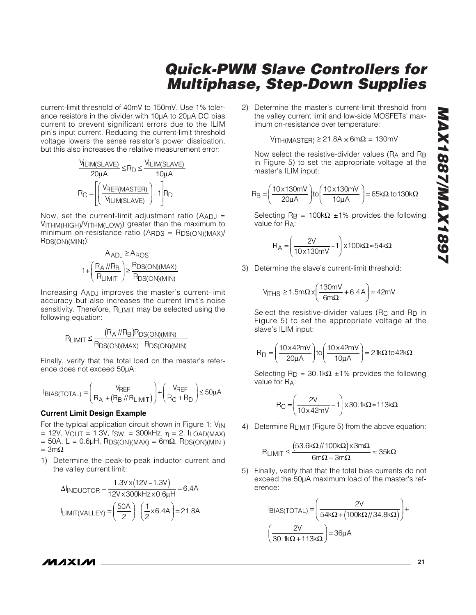### *Quick-PWM Slave Controllers for Multiphase, Step-Down Supplies* 2) Determine the master's current-limit threshold from the valley current limit and low-side MOSFETs' maximum on-resistance over temperature:  $V$ ITH(MASTER) ≥ 21.8A  $\times$  6m $\Omega$  = 130mV

Now select the resistive-divider values (RA and RB in Figure 5) to set the appropriate voltage at the master's ILIM input:

$$
R_{\text{B}} = \left(\frac{10 \times 130 \text{mV}}{20 \mu \text{A}}\right) \text{to} \left(\frac{10 \times 130 \text{mV}}{10 \mu \text{A}}\right) = 65 \text{k}\Omega \text{ to } 130 \text{k}\Omega
$$

Selecting R<sub>B</sub> = 100kΩ ±1% provides the following value for RA:

$$
R_A = \left(\frac{2V}{10 \times 130 \text{mV}} - 1\right) \times 100 \text{k}\Omega \approx 54 \text{k}\Omega
$$

3) Determine the slave's current-limit threshold:

$$
V_{\text{THS}} \ge 1.5 \text{m}\Omega \times \left(\frac{130 \text{mV}}{6 \text{m}\Omega} + 6.4 \text{A}\right) \approx 42 \text{mV}
$$

Select the resistive-divider values ( $R_C$  and  $R_D$  in Figure 5) to set the appropriate voltage at the slave's ILIM input:

$$
R_D = \left(\frac{10 \times 42mV}{20 \mu A}\right) \text{to} \left(\frac{10 \times 42mV}{10 \mu A}\right) = 21k\Omega \text{ to } 42k\Omega
$$

Selecting  $R_D = 30.1k\Omega \pm 1\%$  provides the following value for RA:

$$
R_C = \left(\frac{2V}{10 \times 42mV} - 1\right) \times 30.1k\Omega \approx 113k\Omega
$$

4) Determine RLIMIT (Figure 5) from the above equation:

$$
R_{LIMIT} \leq \frac{\left(53.6k\Omega \text{/}/100k\Omega\right) \times 3m\Omega}{6m\Omega - 3m\Omega} \approx 35k\Omega
$$

5) Finally, verify that that the total bias currents do not exceed the 50µA maximum load of the master's reference:

$$
IBIAS(TOTAL) = \left(\frac{2V}{54k\Omega + (100k\Omega)/34.8k\Omega)}\right) +
$$

$$
\left(\frac{2V}{30.1k\Omega + 113k\Omega}\right) = 36\mu\text{A}
$$

current-limit threshold of 40mV to 150mV. Use 1% tolerance resistors in the divider with 10µA to 20µA DC bias current to prevent significant errors due to the ILIM pin's input current. Reducing the current-limit threshold voltage lowers the sense resistor's power dissipation, but this also increases the relative measurement error:

$$
\frac{V_{ILIM(SLAVE)}}{20 \mu A} \le R_D \le \frac{V_{ILIM(SLAVE)}}{10 \mu A}
$$

$$
R_C = \left[ \left( \frac{V_{REF(MASTER)}}{V_{ILIM(SLAVE)}} \right) - 1 \right] R_D
$$

Now, set the current-limit adjustment ratio ( $AADJ =$ VITHM(HIGH)/VITHM(LOW)) greater than the maximum to minimum on-resistance ratio (ARDS = RDS(ON)(MAX)/ RDS(ON)(MIN)):

$$
A_{ADJ} \ge A_{ROS}
$$

$$
1 + \left(\frac{R_A / / R_B}{R_{LIMIT}}\right) \ge \frac{R_{DS(ON)(MAX)}}{R_{DS(ON)(MIN)}}
$$

Increasing AADJ improves the master's current-limit accuracy but also increases the current limit's noise sensitivity. Therefore,  $R_{LIMIT}$  may be selected using the following equation:

$$
R_{LIMIT} \leq \frac{(R_A \text{ // } R_B)R_{DS(ON)(MIN)}}{R_{DS(ON)(MAX)} - R_{DS(ON)(MIN)}}
$$

Finally, verify that the total load on the master's reference does not exceed 50µA:

$$
I_{BIAS(TOTAL)} = \left(\frac{V_{REF}}{R_A + (R_B // R_{LIMIT})}\right) + \left(\frac{V_{REF}}{R_C + R_D}\right) \le 50 \mu A
$$

#### **Current Limit Design Example**

For the typical application circuit shown in Figure 1: V<sub>IN</sub>  $= 12V$ , VOUT = 1.3V, fsw = 300kHz,  $\eta = 2$ , ILOAD(MAX)  $= 50A$ , L = 0.6µH, RDS(ON)(MAX) = 6m $\Omega$ , RDS(ON)(MIN)  $= 3m\Omega$ 

1) Determine the peak-to-peak inductor current and the valley current limit:

$$
\Delta I_{\text{INDUCTOR}} = \frac{1.3 \text{V} \times (12 \text{V} - 1.3 \text{V})}{12 \text{V} \times 300 \text{kHz} \times 0.6 \mu\text{H}} = 6.4 \text{A}
$$
\n
$$
I_{\text{LIMIT(VALLEY)}} = \left(\frac{50 \text{A}}{2}\right) - \left(\frac{1}{2} \times 6.4 \text{A}\right) = 21.8 \text{A}
$$

$$
\boldsymbol{\mathcal{N}}\boldsymbol{\mathcal{N}}\mathbf{X}\boldsymbol{\mathcal{N}}
$$

**\_\_\_\_\_\_\_\_\_\_\_\_\_\_\_\_\_\_\_\_\_\_\_\_\_\_\_\_\_\_\_\_\_\_\_\_\_\_\_\_\_\_\_\_\_\_\_\_\_\_\_\_\_\_\_\_\_\_\_\_\_\_\_\_\_\_\_\_\_\_\_\_\_\_\_\_\_\_\_\_\_\_\_\_\_\_ 21**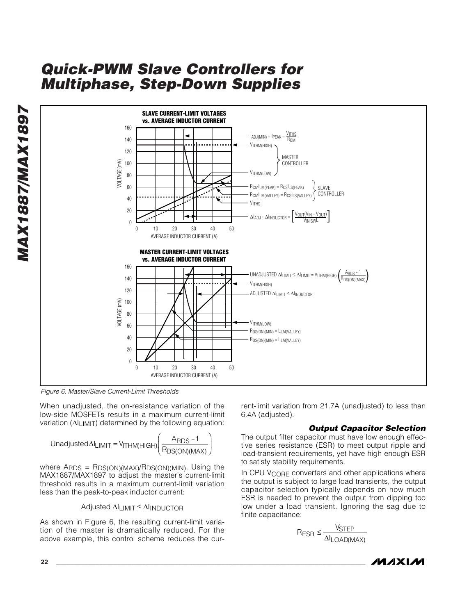*MAX1887/MAX1897* **MAX1887/MAX1897** 



*Figure 6. Master/Slave Current-Limit Thresholds*

When unadjusted, the on-resistance variation of the low-side MOSFETs results in a maximum current-limit variation (ΔI<sub>LIMIT</sub>) determined by the following equation:

$$
Unadjusted \Delta I_{LIMIT} = V_{ITHM(HIGH)} \left( \frac{A_{RDS} - 1}{R_{DS(ON)(MAX)}} \right)
$$

where ARDS = RDS(ON)(MAX)/RDS(ON)(MIN). Using the MAX1887/MAX1897 to adjust the master's current-limit threshold results in a maximum current-limit variation less than the peak-to-peak inductor current:

### Adjusted ∆ILIMIT ≤ ∆IINDUCTOR

As shown in Figure 6, the resulting current-limit variation of the master is dramatically reduced. For the above example, this control scheme reduces the current-limit variation from 21.7A (unadjusted) to less than 6.4A (adjusted).

#### *Output Capacitor Selection*

The output filter capacitor must have low enough effective series resistance (ESR) to meet output ripple and load-transient requirements, yet have high enough ESR to satisfy stability requirements.

In CPU VCORE converters and other applications where the output is subject to large load transients, the output capacitor selection typically depends on how much ESR is needed to prevent the output from dipping too low under a load transient. Ignoring the sag due to finite capacitance:

$$
R_{ESR} \leq \frac{V_{STEP}}{\Delta I_{LOAD(MAX)}}
$$

$$
MAXLM
$$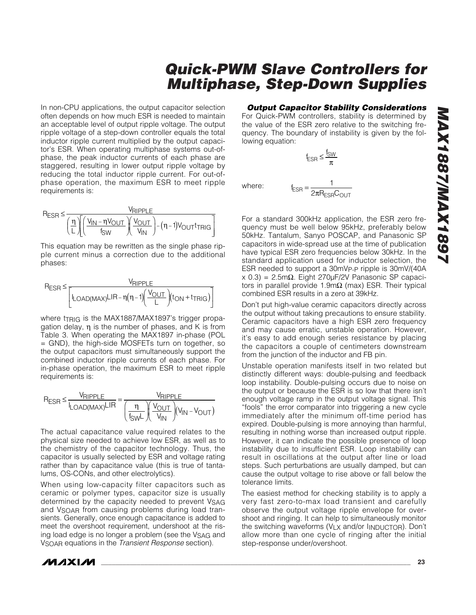In non-CPU applications, the output capacitor selection often depends on how much ESR is needed to maintain an acceptable level of output ripple voltage. The output ripple voltage of a step-down controller equals the total inductor ripple current multiplied by the output capacitor's ESR. When operating multiphase systems out-ofphase, the peak inductor currents of each phase are staggered, resulting in lower output ripple voltage by reducing the total inductor ripple current. For out-ofphase operation, the maximum ESR to meet ripple requirements is:

$$
R_{ESR} \leq \frac{V_{RIPPLE}}{\left(\frac{\eta}{L}\right)\left[\left(\frac{V_{IN}-\eta V_{OUT}}{f_{SW}}\right)\left(\frac{V_{OUT}}{V_{IN}}\right)-(\eta-1)V_{OUT}t_{TRIG}\right]}
$$

This equation may be rewritten as the single phase ripple current minus a correction due to the additional phases:

$$
R_{ESR} \leq \frac{V_{RIPPLE}}{\Biggl[\mathbf{I}_{\text{LOAD(MAX)}}\text{LIR} - \eta\bigl(\eta-1\bigr)\biggl(\frac{V_{OUT}}{L}\biggl)(t_{ON} + t_{TRIG})\Biggr]}
$$

where tTRIG is the MAX1887/MAX1897's trigger propagation delay, η is the number of phases, and K is from Table 3. When operating the MAX1897 in-phase (POL = GND), the high-side MOSFETs turn on together, so the output capacitors must simultaneously support the combined inductor ripple currents of each phase. For in-phase operation, the maximum ESR to meet ripple requirements is:

$$
R_{ESR} \leq \frac{V_{RIPPLE}}{I_{LOAD(MAX)}LIR} = \frac{V_{RIPPLE}}{\left(\frac{\eta}{f_{SW}L}\right)\left(\frac{V_{OUT}}{V_{IN}}\right)\left(V_{IN}-V_{OUT}\right)}
$$

The actual capacitance value required relates to the physical size needed to achieve low ESR, as well as to the chemistry of the capacitor technology. Thus, the capacitor is usually selected by ESR and voltage rating rather than by capacitance value (this is true of tantalums, OS-CONs, and other electrolytics).

When using low-capacity filter capacitors such as ceramic or polymer types, capacitor size is usually determined by the capacity needed to prevent V<sub>SAG</sub> and V<sub>SOAR</sub> from causing problems during load transients. Generally, once enough capacitance is added to meet the overshoot requirement, undershoot at the rising load edge is no longer a problem (see the VSAG and VSOAR equations in the *Transient Response* section).

### *Output Capacitor Stability Considerations*

For Quick-PWM controllers, stability is determined by the value of the ESR zero relative to the switching frequency. The boundary of instability is given by the following equation:

1

$$
f_{ESR} \leq \frac{f_{SW}}{\pi}
$$

 $=\frac{1}{2\pi}$ 

2

where:  $f_{ESR} = \frac{1}{2\pi R_{ESR}C_{OUT}}$ 

For a standard 300kHz application, the ESR zero frequency must be well below 95kHz, preferably below 50kHz. Tantalum, Sanyo POSCAP, and Panasonic SP capacitors in wide-spread use at the time of publication have typical ESR zero frequencies below 30kHz. In the standard application used for inductor selection, the ESR needed to support a 30mVP-P ripple is 30mV/(40A x 0.3) = 2.5mΩ. Eight 270µF/2V Panasonic SP capacitors in parallel provide 1.9m $Ω$  (max) ESR. Their typical combined ESR results in a zero at 39kHz.

Don't put high-value ceramic capacitors directly across the output without taking precautions to ensure stability. Ceramic capacitors have a high ESR zero frequency and may cause erratic, unstable operation. However, it's easy to add enough series resistance by placing the capacitors a couple of centimeters downstream from the junction of the inductor and FB pin.

Unstable operation manifests itself in two related but distinctly different ways: double-pulsing and feedback loop instability. Double-pulsing occurs due to noise on the output or because the ESR is so low that there isn't enough voltage ramp in the output voltage signal. This "fools" the error comparator into triggering a new cycle immediately after the minimum off-time period has expired. Double-pulsing is more annoying than harmful, resulting in nothing worse than increased output ripple. However, it can indicate the possible presence of loop instability due to insufficient ESR. Loop instability can result in oscillations at the output after line or load steps. Such perturbations are usually damped, but can cause the output voltage to rise above or fall below the tolerance limits.

The easiest method for checking stability is to apply a very fast zero-to-max load transient and carefully observe the output voltage ripple envelope for overshoot and ringing. It can help to simultaneously monitor the switching waveforms (V<sub>LX</sub> and/or I<sub>INDUCTOR</sub>). Don't allow more than one cycle of ringing after the initial step-response under/overshoot.

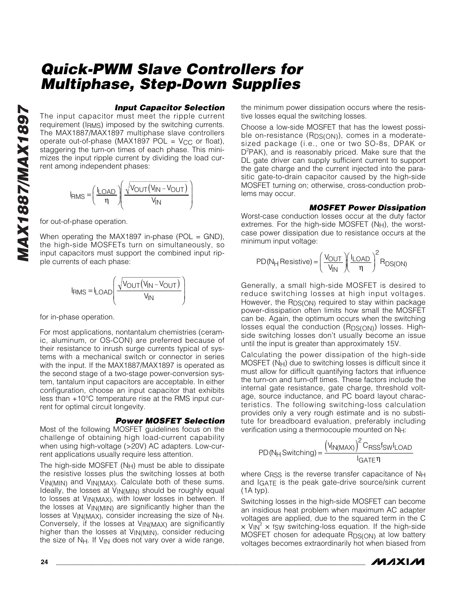#### *Input Capacitor Selection*

The input capacitor must meet the ripple current requirement (IRMS) imposed by the switching currents. The MAX1887/MAX1897 multiphase slave controllers operate out-of-phase (MAX1897 POL =  $V_{CC}$  or float), staggering the turn-on times of each phase. This minimizes the input ripple current by dividing the load current among independent phases:

$$
I_{RMS} = \left(\frac{I_{LOAD}}{\eta}\right)\left(\frac{\sqrt{V_{OUT}(V_{IN}-V_{OUT})}}{V_{IN}}\right)
$$

for out-of-phase operation.

When operating the MAX1897 in-phase (POL = GND), the high-side MOSFETs turn on simultaneously, so input capacitors must support the combined input ripple currents of each phase:

$$
I_{RMS} = I_{LOAD} \left( \frac{\sqrt{V_{OUT}(V_{IN} - V_{OUT})}}{V_{IN}} \right)
$$

for in-phase operation.

For most applications, nontantalum chemistries (ceramic, aluminum, or OS-CON) are preferred because of their resistance to inrush surge currents typical of systems with a mechanical switch or connector in series with the input. If the MAX1887/MAX1897 is operated as the second stage of a two-stage power-conversion system, tantalum input capacitors are acceptable. In either configuration, choose an input capacitor that exhibits less than +10°C temperature rise at the RMS input current for optimal circuit longevity.

#### *Power MOSFET Selection*

Most of the following MOSFET guidelines focus on the challenge of obtaining high load-current capability when using high-voltage (>20V) AC adapters. Low-current applications usually require less attention.

The high-side MOSFET (NH) must be able to dissipate the resistive losses plus the switching losses at both VIN(MIN) and VIN(MAX). Calculate both of these sums. Ideally, the losses at VIN(MIN) should be roughly equal to losses at V<sub>IN(MAX)</sub>, with lower losses in between. If the losses at VIN(MIN) are significantly higher than the losses at VIN(MAX), consider increasing the size of NH. Conversely, if the losses at VIN(MAX) are significantly higher than the losses at V<sub>IN(MIN)</sub>, consider reducing the size of  $N_H$ . If  $V_{IN}$  does not vary over a wide range, the minimum power dissipation occurs where the resistive losses equal the switching losses.

Choose a low-side MOSFET that has the lowest possible on-resistance (R<sub>DS(ON)</sub>), comes in a moderatesized package (i.e., one or two SO-8s, DPAK or D<sup>2</sup>PAK), and is reasonably priced. Make sure that the DL gate driver can supply sufficient current to support the gate charge and the current injected into the parasitic gate-to-drain capacitor caused by the high-side MOSFET turning on; otherwise, cross-conduction problems may occur.

#### *MOSFET Power Dissipation*

Worst-case conduction losses occur at the duty factor extremes. For the high-side MOSFET  $(N_H)$ , the worstcase power dissipation due to resistance occurs at the minimum input voltage:

$$
PD(N_H \text{Resistive}) = \left(\frac{V_{OUT}}{V_{IN}}\right)\left(\frac{I_{LOAD}}{\eta}\right)^2 R_{DS(ON)}
$$

Generally, a small high-side MOSFET is desired to reduce switching losses at high input voltages. However, the RDS(ON) required to stay within package power-dissipation often limits how small the MOSFET can be. Again, the optimum occurs when the switching losses equal the conduction (RDS(ON)) losses. Highside switching losses don't usually become an issue until the input is greater than approximately 15V.

Calculating the power dissipation of the high-side MOSFET (NH) due to switching losses is difficult since it must allow for difficult quantifying factors that influence the turn-on and turn-off times. These factors include the internal gate resistance, gate charge, threshold voltage, source inductance, and PC board layout characteristics. The following switching-loss calculation provides only a very rough estimate and is no substitute for breadboard evaluation, preferably including verification using a thermocouple mounted on NH:

$$
PD(N_H Switching) = \frac{(V_{IN(MAX)})^2 C_{RSS} f_{SW} I_{LOAD}}{I_{GATE} \eta}
$$

where CRSS is the reverse transfer capacitance of NH and IGATE is the peak gate-drive source/sink current (1A typ).

Switching losses in the high-side MOSFET can become an insidious heat problem when maximum AC adapter voltages are applied, due to the squared term in the C  $\times$  V<sub>IN</sub><sup>2</sup>  $\times$  fsw switching-loss equation. If the high-side MOSFET chosen for adequate R<sub>DS(ON)</sub> at low battery voltages becomes extraordinarily hot when biased from

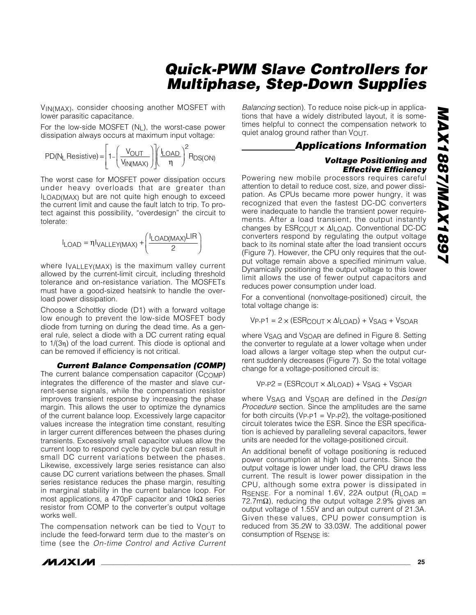VIN(MAX), consider choosing another MOSFET with lower parasitic capacitance.

For the low-side MOSFET (NL), the worst-case power dissipation always occurs at maximum input voltage:

$$
PD(N_L \text{ Resistance}) = \left[1 - \left(\frac{V_{OUT}}{V_{IN(MAX)}}\right)\right] \left(\frac{I_{LOAD}}{\eta}\right)^2 R_{DS(ON)}
$$

The worst case for MOSFET power dissipation occurs under heavy overloads that are greater than ILOAD(MAX) but are not quite high enough to exceed the current limit and cause the fault latch to trip. To protect against this possibility, "overdesign" the circuit to tolerate:

$$
I_{\text{LOAD}} = \eta I_{\text{VALLEY} (MAX)} + \left(\frac{I_{\text{LOAD} (MAX)} LIR}{2}\right)
$$

where IVALLEY(MAX) is the maximum valley current allowed by the current-limit circuit, including threshold tolerance and on-resistance variation. The MOSFETs must have a good-sized heatsink to handle the overload power dissipation.

Choose a Schottky diode (D1) with a forward voltage low enough to prevent the low-side MOSFET body diode from turning on during the dead time. As a general rule, select a diode with a DC current rating equal to 1/(3η) of the load current. This diode is optional and can be removed if efficiency is not critical.

```
Current Balance Compensation (COMP)
```
The current balance compensation capacitor (CCOMP) integrates the difference of the master and slave current-sense signals, while the compensation resistor improves transient response by increasing the phase margin. This allows the user to optimize the dynamics of the current balance loop. Excessively large capacitor values increase the integration time constant, resulting in larger current differences between the phases during transients. Excessively small capacitor values allow the current loop to respond cycle by cycle but can result in small DC current variations between the phases. Likewise, excessively large series resistance can also cause DC current variations between the phases. Small series resistance reduces the phase margin, resulting in marginal stability in the current balance loop. For most applications, a 470pF capacitor and 10kΩ series resistor from COMP to the converter's output voltage works well.

The compensation network can be tied to  $V_{\text{OUT}}$  to include the feed-forward term due to the master's on time (see the *On-time Control and Active Current*

*Balancing* section). To reduce noise pick-up in applications that have a widely distributed layout, it is sometimes helpful to connect the compensation network to quiet analog ground rather than VOUT.

### *Applications Information*

#### *Voltage Positioning and Effective Efficiency*

Powering new mobile processors requires careful attention to detail to reduce cost, size, and power dissipation. As CPUs became more power hungry, it was recognized that even the fastest DC-DC converters were inadequate to handle the transient power requirements. After a load transient, the output instantly changes by  $ESR_{COUT} \times \Delta I_{LOAD}$ . Conventional DC-DC converters respond by regulating the output voltage back to its nominal state after the load transient occurs (Figure 7). However, the CPU only requires that the output voltage remain above a specified minimum value. Dynamically positioning the output voltage to this lower limit allows the use of fewer output capacitors and reduces power consumption under load.

For a conventional (nonvoltage-positioned) circuit, the total voltage change is:

$$
V_{P-P1} = 2 \times (ESRCOUT \times \Delta ILOAD) + VSAG + VSOAR
$$

where V<sub>SAG</sub> and V<sub>SOAR</sub> are defined in Figure 8. Setting the converter to regulate at a lower voltage when under load allows a larger voltage step when the output current suddenly decreases (Figure 7). So the total voltage change for a voltage-positioned circuit is:

 $VP-P2 = (ESRCOUT \times \Delta ILOAD) + VSAG + VSOAR$ 

where VSAG and VSOAR are defined in the *Design Procedure* section. Since the amplitudes are the same for both circuits ( $V_{P-P1} = V_{P-P2}$ ), the voltage-positioned circuit tolerates twice the ESR. Since the ESR specification is achieved by paralleling several capacitors, fewer units are needed for the voltage-positioned circuit.

An additional benefit of voltage positioning is reduced power consumption at high load currents. Since the output voltage is lower under load, the CPU draws less current. The result is lower power dissipation in the CPU, although some extra power is dissipated in RSENSE. For a nominal 1.6V, 22A output  $(R<sub>LOAD</sub> =$ 72.7mΩ), reducing the output voltage 2.9% gives an output voltage of 1.55V and an output current of 21.3A. Given these values, CPU power consumption is reduced from 35.2W to 33.03W. The additional power consumption of RSENSE is:

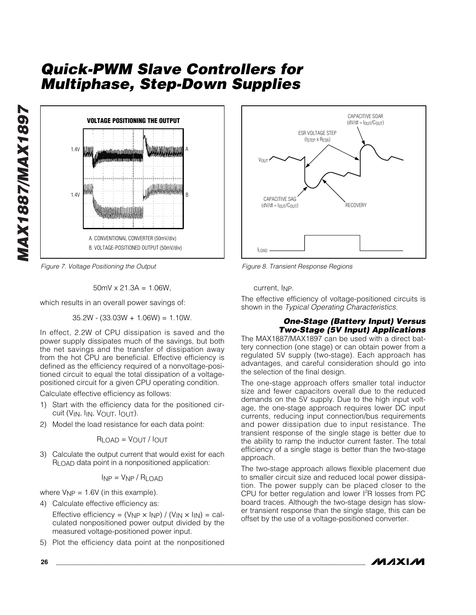

*Figure 7. Voltage Positioning the Output*

$$
50 \, \text{mV} \times 21.3 \, \text{A} = 1.06 \, \text{W}
$$

which results in an overall power savings of:

 $35.2W - (33.03W + 1.06W) = 1.10W$ .

In effect, 2.2W of CPU dissipation is saved and the power supply dissipates much of the savings, but both the net savings and the transfer of dissipation away from the hot CPU are beneficial. Effective efficiency is defined as the efficiency required of a nonvoltage-positioned circuit to equal the total dissipation of a voltagepositioned circuit for a given CPU operating condition.

Calculate effective efficiency as follows:

- 1) Start with the efficiency data for the positioned circuit (VIN, IIN, VOUT, IOUT).
- 2) Model the load resistance for each data point:

$$
R_{LOAD} = V_{OUT} / I_{OUT}
$$

3) Calculate the output current that would exist for each RLOAD data point in a nonpositioned application:

$$
I_{NP} = V_{NP} / R_{LOAD}
$$

where  $V_{NP} = 1.6V$  (in this example).

- 4) Calculate effective efficiency as: Effective efficiency =  $(V_{NP} \times I_{NP}) / (V_{IN} \times I_{IN})$  = calculated nonpositioned power output divided by the measured voltage-positioned power input.
- 5) Plot the efficiency data point at the nonpositioned



*Figure 8. Transient Response Regions*

current, INP.

The effective efficiency of voltage-positioned circuits is shown in the *Typical Operating Characteristics*.

#### *One-Stage (Battery Input) Versus Two-Stage (5V Input) Applications*

The MAX1887/MAX1897 can be used with a direct battery connection (one stage) or can obtain power from a regulated 5V supply (two-stage). Each approach has advantages, and careful consideration should go into the selection of the final design.

The one-stage approach offers smaller total inductor size and fewer capacitors overall due to the reduced demands on the 5V supply. Due to the high input voltage, the one-stage approach requires lower DC input currents, reducing input connection/bus requirements and power dissipation due to input resistance. The transient response of the single stage is better due to the ability to ramp the inductor current faster. The total efficiency of a single stage is better than the two-stage approach.

The two-stage approach allows flexible placement due to smaller circuit size and reduced local power dissipation. The power supply can be placed closer to the CPU for better regulation and lower  $l^2R$  losses from PC board traces. Although the two-stage design has slower transient response than the single stage, this can be offset by the use of a voltage-positioned converter.

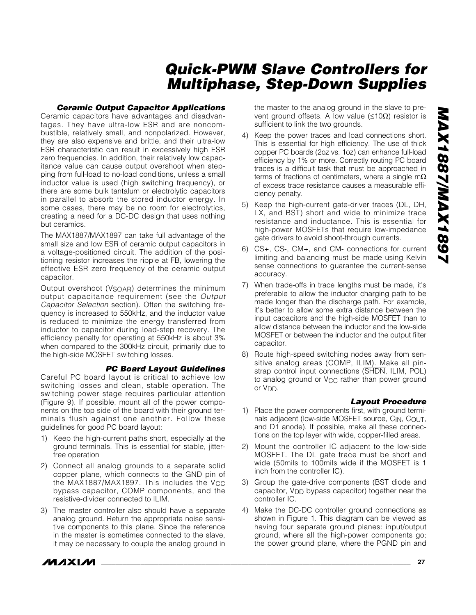#### *Ceramic Output Capacitor Applications*

Ceramic capacitors have advantages and disadvantages. They have ultra-low ESR and are noncombustible, relatively small, and nonpolarized. However, they are also expensive and brittle, and their ultra-low ESR characteristic can result in excessively high ESR zero frequencies. In addition, their relatively low capacitance value can cause output overshoot when stepping from full-load to no-load conditions, unless a small inductor value is used (high switching frequency), or there are some bulk tantalum or electrolytic capacitors in parallel to absorb the stored inductor energy. In some cases, there may be no room for electrolytics, creating a need for a DC-DC design that uses nothing but ceramics.

The MAX1887/MAX1897 can take full advantage of the small size and low ESR of ceramic output capacitors in a voltage-positioned circuit. The addition of the positioning resistor increases the ripple at FB, lowering the effective ESR zero frequency of the ceramic output capacitor.

Output overshoot (V<sub>SOAR</sub>) determines the minimum output capacitance requirement (see the *Output Capacitor Selection* section). Often the switching frequency is increased to 550kHz, and the inductor value is reduced to minimize the energy transferred from inductor to capacitor during load-step recovery. The efficiency penalty for operating at 550kHz is about 3% when compared to the 300kHz circuit, primarily due to the high-side MOSFET switching losses.

#### *PC Board Layout Guidelines*

Careful PC board layout is critical to achieve low switching losses and clean, stable operation. The switching power stage requires particular attention (Figure 9). If possible, mount all of the power components on the top side of the board with their ground terminals flush against one another. Follow these guidelines for good PC board layout:

- 1) Keep the high-current paths short, especially at the ground terminals. This is essential for stable, jitterfree operation
- 2) Connect all analog grounds to a separate solid copper plane, which connects to the GND pin of the MAX1887/MAX1897. This includes the V<sub>CC</sub> bypass capacitor, COMP components, and the resistive-divider connected to ILIM.
- 3) The master controller also should have a separate analog ground. Return the appropriate noise sensitive components to this plane. Since the reference in the master is sometimes connected to the slave, it may be necessary to couple the analog ground in

the master to the analog ground in the slave to prevent ground offsets. A low value ( $\leq$ 10Ω) resistor is sufficient to link the two grounds.

- 4) Keep the power traces and load connections short. This is essential for high efficiency. The use of thick copper PC boards (2oz vs. 1oz) can enhance full-load efficiency by 1% or more. Correctly routing PC board traces is a difficult task that must be approached in terms of fractions of centimeters, where a single m $\Omega$ of excess trace resistance causes a measurable efficiency penalty.
- 5) Keep the high-current gate-driver traces (DL, DH, LX, and BST) short and wide to minimize trace resistance and inductance. This is essential for high-power MOSFETs that require low-impedance gate drivers to avoid shoot-through currents.
- 6) CS+, CS-, CM+, and CM- connections for current limiting and balancing must be made using Kelvin sense connections to guarantee the current-sense accuracy.
- 7) When trade-offs in trace lengths must be made, it's preferable to allow the inductor charging path to be made longer than the discharge path. For example, it's better to allow some extra distance between the input capacitors and the high-side MOSFET than to allow distance between the inductor and the low-side MOSFET or between the inductor and the output filter capacitor.
- 8) Route high-speed switching nodes away from sensitive analog areas (COMP, ILIM). Make all pinstrap control input connections (SHDN, ILIM, POL) to analog ground or V<sub>CC</sub> rather than power ground or  $V_{DD}$ .

#### *Layout Procedure*

- 1) Place the power components first, with ground terminals adjacent (low-side MOSFET source, C<sub>IN</sub>, C<sub>OUT</sub>, and D1 anode). If possible, make all these connections on the top layer with wide, copper-filled areas.
- 2) Mount the controller IC adjacent to the low-side MOSFET. The DL gate trace must be short and wide (50mils to 100mils wide if the MOSFET is 1 inch from the controller IC).
- 3) Group the gate-drive components (BST diode and capacitor, V<sub>DD</sub> bypass capacitor) together near the controller IC.
- 4) Make the DC-DC controller ground connections as shown in Figure 1. This diagram can be viewed as having four separate ground planes: input/output ground, where all the high-power components go; the power ground plane, where the PGND pin and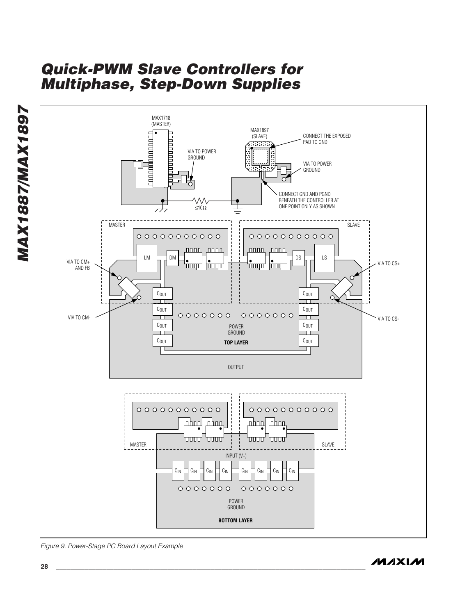

*Figure 9. Power-Stage PC Board Layout Example*

*MAX1887/MAX1897*

**MAX1887/MAX1897**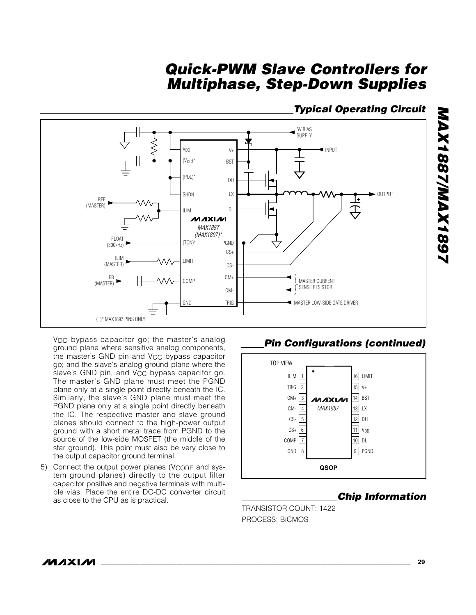### *Typical Operating Circuit*



V<sub>DD</sub> bypass capacitor go; the master's analog ground plane where sensitive analog components, the master's GND pin and V<sub>CC</sub> bypass capacitor go; and the slave's analog ground plane where the slave's GND pin, and  $V_{CC}$  bypass capacitor go. The master's GND plane must meet the PGND plane only at a single point directly beneath the IC. Similarly, the slave's GND plane must meet the PGND plane only at a single point directly beneath the IC. The respective master and slave ground planes should connect to the high-power output ground with a short metal trace from PGND to the source of the low-side MOSFET (the middle of the star ground). This point must also be very close to the output capacitor ground terminal.

5) Connect the output power planes (V<sub>CORE</sub> and system ground planes) directly to the output filter capacitor positive and negative terminals with multiple vias. Place the entire DC-DC converter circuit ple vias. Flace the entire DC-DC conventer circuit<br>as close to the CPU as is practical. **Chip Information** 

### *Pin Configurations (continued)*



TRANSISTOR COUNT: 1422 PROCESS: BiCMOS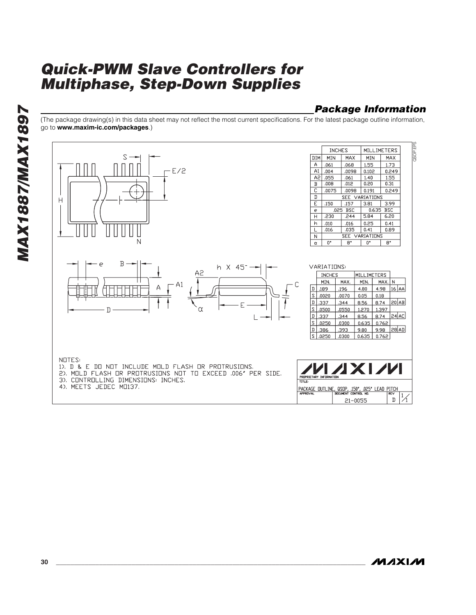### *Package Information*

(The package drawing(s) in this data sheet may not reflect the most current specifications. For the latest package outline information, go to **www.maxim-ic.com/packages**.)

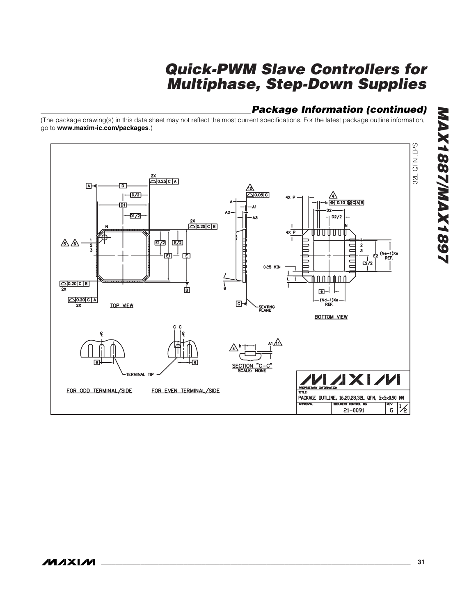### *Package Information (continued)*

(The package drawing(s) in this data sheet may not reflect the most current specifications. For the latest package outline information, go to **www.maxim-ic.com/packages**.)

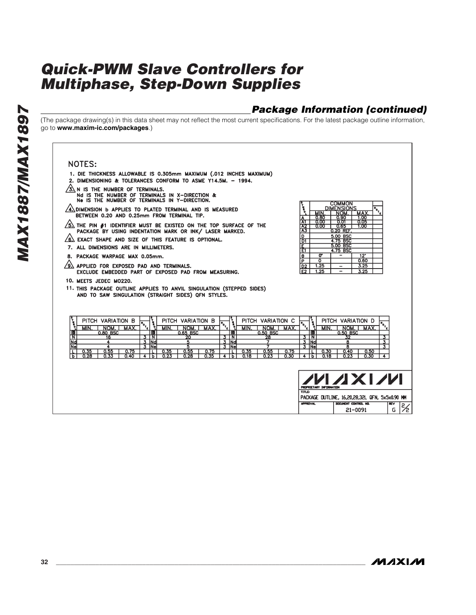### *Package Information (continued)*

(The package drawing(s) in this data sheet may not reflect the most current specifications. For the latest package outline information, go to **www.maxim-ic.com/packages**.)

#### **NOTES:**

- 1. DIE THICKNESS ALLOWABLE IS 0.305mm MAXIMUM (.012 INCHES MAXIMUM)
- 2. DIMENSIONING & TOLERANCES CONFORM TO ASME Y14.5M. 1994.
- $\sqrt{3}$  N IS THE NUMBER OF TERMINALS.
- Nd IS THE NUMBER OF TERMINALS IN X-DIRECTION &<br>Ne IS THE NUMBER OF TERMINALS IN Y-DIRECTION.
- $\sqrt{4}$  dimension b applies to plated terminal and is measured BETWEEN 0.20 AND 0.25mm FROM TERMINAL TIP.
- $\sqrt{5}$  the PIN #1 identifier must be existed on the TOP surface of the PACKAGE BY USING INDENTATION MARK OR INK/ LASER MARKED.
- $\sqrt{6}$  exact shape and size of this feature is optional.
- 7. ALL DIMENSIONS ARE IN MILLIMETERS.
- 8. PACKAGE WARPAGE MAX 0.05mm.
- $\sqrt{9}$  applied for exposed pad and terminals. EXCLUDE EMBEDDED PART OF EXPOSED PAD FROM MEASURING.
- 10. MEETS JEDEC MO220.
- 11. THIS PACKAGE OUTLINE APPLIES TO ANVIL SINGULATION (STEPPED SIDES) AND TO SAW SINGULATION (STRAIGHT SIDES) QFN STYLES.

| VARIATION<br>в<br>PITCH<br>лах<br>МIN<br>NOM. |             | PITCH<br>MIN | <b>VARIATION</b><br><b>NC</b> | в<br>MAX |            | PITCH<br>MIN | VARIATION<br>NI | $\sim$<br>MAX |             | PITCH<br>иıн | VARIATION<br>NOM | MAX. |  |
|-----------------------------------------------|-------------|--------------|-------------------------------|----------|------------|--------------|-----------------|---------------|-------------|--------------|------------------|------|--|
| 0.80 BSC                                      | ۱e          |              | 0.65 BSC                      |          | 10         |              | 0.50 BSC        |               | 16          |              | 0.50 BSC         |      |  |
|                                               | N           |              | 20                            |          | N          |              | 28              |               |             |              |                  |      |  |
|                                               | .lNdl       |              |                               |          | <b>INd</b> |              |                 |               | <b>INdi</b> |              |                  |      |  |
|                                               | <b>INel</b> |              |                               |          | Ne)        |              |                 |               | <b>INel</b> |              |                  |      |  |
| 0.55<br>J.75<br>0.35                          |             | 0.35         | 0.55                          | 0.75     |            | 0.35         | 0.55            | 0.75          |             | 0.30         | 0.4C             | 0.50 |  |
| 0.40<br>0.33<br>0.28                          |             | 0.23         | 0.28                          | 0.35     |            |              | 0.23            | 0.30          |             | 0.18         | 0.23             | 0.30 |  |

| PROPRIETARY DIFORMATION |                                                |  |
|-------------------------|------------------------------------------------|--|
| TITLE:                  | PACKAGE DUTLINE, 16,20,28,32L QFN, 5x5x0.90 MM |  |
| <b>APPROVAL</b>         | DOCUMENT CONTROL NO.<br>21-0091                |  |